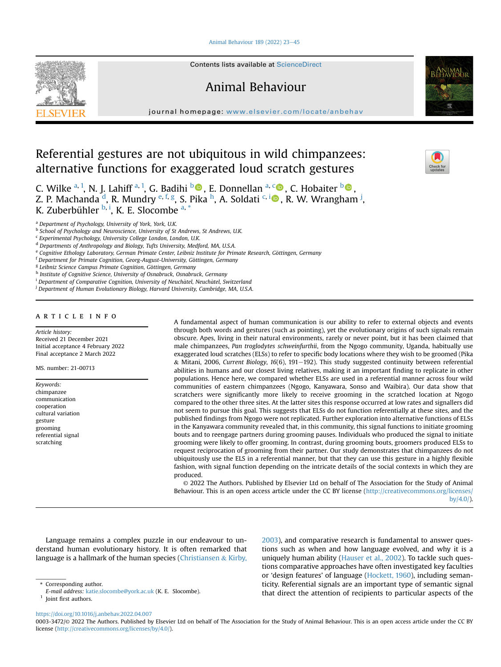## [Animal Behaviour 189 \(2022\) 23](https://doi.org/10.1016/j.anbehav.2022.04.007)-[45](https://doi.org/10.1016/j.anbehav.2022.04.007)



Contents lists available at ScienceDirect

# Animal Behaviour

journal homepage: [www.elsevier.com/locate/anbehav](http://www.elsevier.com/locate/anbehav)

# Referential gestures are not ubiquitous in wild chimpanzees: alternative functions for exaggerated loud scratch gestures



<span id="page-0-0"></span><sup>a</sup> Department of Psychology, University of York, York, U.K.

<span id="page-0-6"></span>f Department for Primate Cognition, Georg-August-University, Göttingen, Germany

<span id="page-0-7"></span><sup>g</sup> Leibniz Science Campus Primate Cognition, Göttingen, Germany

<span id="page-0-8"></span>h Institute of Cognitive Science, University of Osnabruck, Osnabruck, Germany

<span id="page-0-9"></span> $i$  Department of Comparative Cognition, University of Neuchâtel, Neuchâtel, Switzerland

<span id="page-0-10"></span><sup>j</sup> Department of Human Evolutionary Biology, Harvard University, Cambridge, MA, U.S.A.

# article info

Article history: Received 21 December 2021 Initial acceptance 4 February 2022 Final acceptance 2 March 2022

MS. number: 21-00713

Keywords: chimpanzee communication cooperation cultural variation gesture grooming referential signal scratching

A fundamental aspect of human communication is our ability to refer to external objects and events through both words and gestures (such as pointing), yet the evolutionary origins of such signals remain obscure. Apes, living in their natural environments, rarely or never point, but it has been claimed that male chimpanzees, Pan troglodytes schweinfurthii, from the Ngogo community, Uganda, habitually use exaggerated loud scratches (ELSs) to refer to specific body locations where they wish to be groomed (Pika  $&$  Mitani, 2006, Current Biology, 16(6), 191-192). This study suggested continuity between referential abilities in humans and our closest living relatives, making it an important finding to replicate in other populations. Hence here, we compared whether ELSs are used in a referential manner across four wild communities of eastern chimpanzees (Ngogo, Kanyawara, Sonso and Waibira). Our data show that scratchers were significantly more likely to receive grooming in the scratched location at Ngogo compared to the other three sites. At the latter sites this response occurred at low rates and signallers did not seem to pursue this goal. This suggests that ELSs do not function referentially at these sites, and the published findings from Ngogo were not replicated. Further exploration into alternative functions of ELSs in the Kanyawara community revealed that, in this community, this signal functions to initiate grooming bouts and to reengage partners during grooming pauses. Individuals who produced the signal to initiate grooming were likely to offer grooming. In contrast, during grooming bouts, groomers produced ELSs to request reciprocation of grooming from their partner. Our study demonstrates that chimpanzees do not ubiquitously use the ELS in a referential manner, but that they can use this gesture in a highly flexible fashion, with signal function depending on the intricate details of the social contexts in which they are produced.

© 2022 The Authors. Published by Elsevier Ltd on behalf of The Association for the Study of Animal Behaviour. This is an open access article under the CC BY license [\(http://creativecommons.org/licenses/](http://creativecommons.org/licenses/by/4.0/) [by/4.0/](http://creativecommons.org/licenses/by/4.0/)).

Language remains a complex puzzle in our endeavour to understand human evolutionary history. It is often remarked that language is a hallmark of the human species [\(Christiansen](#page-13-0) & [Kirby,](#page-13-0)

[2003\)](#page-13-0), and comparative research is fundamental to answer questions such as when and how language evolved, and why it is a uniquely human ability [\(Hauser et al., 2002\)](#page-14-0). To tackle such questions comparative approaches have often investigated key faculties or 'design features' of language ([Hockett, 1960\)](#page-14-1), including semanticity. Referential signals are an important type of semantic signal that direct the attention of recipients to particular aspects of the

<https://doi.org/10.1016/j.anbehav.2022.04.007>



<span id="page-0-2"></span>b School of Psychology and Neuroscience, University of St Andrews, St Andrews, U.K.

<span id="page-0-3"></span><sup>c</sup> Experimental Psychology, University College London, London, U.K.

<span id="page-0-4"></span><sup>d</sup> Departments of Anthropology and Biology, Tufts University, Medford, MA, U.S.A.

<span id="page-0-5"></span>e Cognitive Ethology Laboratory, German Primate Center, Leibniz Institute for Primate Research, Göttingen, Germany

<span id="page-0-11"></span><sup>\*</sup> Corresponding author.

E-mail address: [katie.slocombe@york.ac.uk](mailto:katie.slocombe@york.ac.uk) (K. E. Slocombe).

<span id="page-0-1"></span> $<sup>1</sup>$  Joint first authors.</sup>

<sup>0003-3472/</sup>© 2022 The Authors. Published by Elsevier Ltd on behalf of The Association for the Study of Animal Behaviour. This is an open access article under the CC BY license ([http://creativecommons.org/licenses/by/4.0/\)](http://creativecommons.org/licenses/by/4.0/).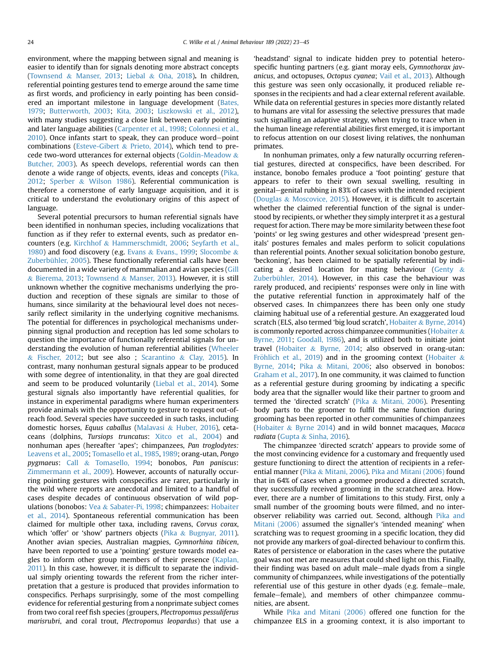environment, where the mapping between signal and meaning is easier to identify than for signals denoting more abstract concepts ([Townsend](#page-14-2) & [Manser, 2013](#page-14-2); [Liebal](#page-14-3) & Oña, 2018). In children, referential pointing gestures tend to emerge around the same time as first words, and proficiency in early pointing has been considered an important milestone in language development ([Bates,](#page-13-1) [1979](#page-13-1); [Butterworth, 2003](#page-13-2); [Kita, 2003;](#page-14-4) [Liszkowski et al., 2012\)](#page-14-5), with many studies suggesting a close link between early pointing and later language abilities ([Carpenter et al., 1998](#page-13-3); [Colonnesi et al.,](#page-13-4)  $2010$ ). Once infants start to speak, they can produce word-point combinations ([Esteve-Gibert](#page-13-5) & [Prieto, 2014](#page-13-5)), which tend to precede two-word utterances for external objects ([Goldin-Meadow](#page-13-6) & [Butcher, 2003\)](#page-13-6). As speech develops, referential words can then denote a wide range of objects, events, ideas and concepts [\(Pika,](#page-14-6) [2012](#page-14-6); [Sperber](#page-14-7) & [Wilson 1986\)](#page-14-7). Referential communication is therefore a cornerstone of early language acquisition, and it is critical to understand the evolutionary origins of this aspect of language.

Several potential precursors to human referential signals have been identified in nonhuman species, including vocalizations that function as if they refer to external events, such as predator encounters (e.g. [Kirchhof](#page-14-8) & [Hammerschmidt, 2006;](#page-14-8) [Seyfarth et al.,](#page-14-9) [1980](#page-14-9)) and food discovery (e.g. [Evans](#page-13-7)  $\&$  [Evans., 1999](#page-13-7); [Slocombe](#page-14-10)  $\&$ [Zuberbühler, 2005](#page-14-10)). These functionally referential calls have been documented in a wide variety of mammalian and avian species ([Gill](#page-13-8) & [Bierema, 2013;](#page-13-8) [Townsend](#page-14-2) & [Manser, 2013](#page-14-2)). However, it is still unknown whether the cognitive mechanisms underlying the production and reception of these signals are similar to those of humans, since similarity at the behavioural level does not necessarily reflect similarity in the underlying cognitive mechanisms. The potential for differences in psychological mechanisms underpinning signal production and reception has led some scholars to question the importance of functionally referential signals for understanding the evolution of human referential abilities ([Wheeler](#page-14-11)  $& Fischer, 2012; but see also; Scarantino & Clay, 2015). In$  $& Fischer, 2012; but see also; Scarantino & Clay, 2015). In$  $& Fischer, 2012; but see also; Scarantino & Clay, 2015). In$  $& Fischer, 2012; but see also; Scarantino & Clay, 2015). In$  $& Fischer, 2012; but see also; Scarantino & Clay, 2015). In$  $& Fischer, 2012; but see also; Scarantino & Clay, 2015). In$  $& Fischer, 2012; but see also; Scarantino & Clay, 2015). In$ contrast, many nonhuman gestural signals appear to be produced with some degree of intentionality, in that they are goal directed and seem to be produced voluntarily [\(Liebal et al., 2014](#page-14-13)). Some gestural signals also importantly have referential qualities, for instance in experimental paradigms where human experimenters provide animals with the opportunity to gesture to request out-ofreach food. Several species have succeeded in such tasks, including domestic horses, Equus caballus ([Malavasi](#page-14-14) & [Huber, 2016](#page-14-14)), cetaceans (dolphins, Tursiops truncatus: [Xitco et al., 2004](#page-14-15)) and nonhuman apes (hereafter 'apes'; chimpanzees, Pan troglodytes: [Leavens et al., 2005](#page-14-16); [Tomasello et al., 1985](#page-14-17), [1989](#page-14-18); orang-utan, Pongo pygmaeus: [Call](#page-13-9) & [Tomasello, 1994](#page-13-9); bonobos, Pan paniscus: [Zimmermann et al., 2009\)](#page-14-19). However, accounts of naturally occurring pointing gestures with conspecifics are rarer, particularly in the wild where reports are anecdotal and limited to a handful of cases despite decades of continuous observation of wild populations (bonobos: [Vea](#page-14-20) & [Sabater-Pi, 1998](#page-14-20); chimpanzees: [Hobaiter](#page-14-21) [et al., 2014\)](#page-14-21). Spontaneous referential communication has been claimed for multiple other taxa, including ravens, Corvus corax, which 'offer' or 'show' partners objects ([Pika](#page-14-22) & [Bugnyar, 2011\)](#page-14-22). Another avian species, Australian magpies, Gymnorhina tibicen, have been reported to use a 'pointing' gesture towards model ea-gles to inform other group members of their presence ([Kaplan,](#page-14-23) [2011\)](#page-14-23). In this case, however, it is difficult to separate the individual simply orienting towards the referent from the richer interpretation that a gesture is produced that provides information to conspecifics. Perhaps surprisingly, some of the most compelling evidence for referential gesturing from a nonprimate subject comes from two coral reef fish species (groupers, Plectropomus pessuliferus marisrubri, and coral trout, Plectropomus leopardus) that use a 'headstand' signal to indicate hidden prey to potential heterospecific hunting partners (e.g. giant moray eels, Gymnothorax javanicus, and octopuses, Octopus cyanea; [Vail et al., 2013](#page-14-24)). Although this gesture was seen only occasionally, it produced reliable responses in the recipients and had a clear external referent available. While data on referential gestures in species more distantly related to humans are vital for assessing the selective pressures that made such signalling an adaptive strategy, when trying to trace when in the human lineage referential abilities first emerged, it is important to refocus attention on our closest living relatives, the nonhuman primates.

In nonhuman primates, only a few naturally occurring referential gestures, directed at conspecifics, have been described. For instance, bonobo females produce a 'foot pointing' gesture that appears to refer to their own sexual swelling, resulting in genital–genital rubbing in 83% of cases with the intended recipient ([Douglas](#page-13-10) & [Moscovice, 2015\)](#page-13-10). However, it is difficult to ascertain whether the claimed referential function of the signal is understood by recipients, or whether they simply interpret it as a gestural request for action. There may be more similarity between these foot 'points' or leg swing gestures and other widespread 'present genitals' postures females and males perform to solicit copulations than referential points. Another sexual solicitation bonobo gesture, 'beckoning', has been claimed to be spatially referential by indi-cating a desired location for mating behaviour ([Genty](#page-13-11)  $\&$ [Zuberbühler, 2014](#page-13-11)). However, in this case the behaviour was rarely produced, and recipients' responses were only in line with the putative referential function in approximately half of the observed cases. In chimpanzees there has been only one study claiming habitual use of a referential gesture. An exaggerated loud scratch (ELS, also termed 'big loud scratch', [Hobaiter](#page-14-25) & [Byrne, 2014\)](#page-14-25) is commonly reported across chimpanzee communities [\(Hobaiter](#page-14-26)  $\&$ [Byrne, 2011](#page-14-26); [Goodall, 1986\)](#page-13-12), and is utilized both to initiate joint travel [\(Hobaiter](#page-14-25) & [Byrne, 2014;](#page-14-25) also observed in orang-utan: [Fr](#page-13-13)ö[hlich et al., 2019](#page-13-13)) and in the grooming context ([Hobaiter](#page-14-25)  $\&$ [Byrne, 2014;](#page-14-25) [Pika](#page-14-27) & [Mitani, 2006](#page-14-27); also observed in bonobos: [Graham et al., 2017](#page-13-14)). In one community, it was claimed to function as a referential gesture during grooming by indicating a specific body area that the signaller would like their partner to groom and termed the 'directed scratch' ([Pika](#page-14-27) & [Mitani, 2006\)](#page-14-27). Presenting body parts to the groomer to fulfil the same function during grooming has been reported in other communities of chimpanzees ([Hobaiter](#page-14-25) & [Byrne 2014](#page-14-25)) and in wild bonnet macaques, Macaca radiata [\(Gupta](#page-14-28) & [Sinha, 2016\)](#page-14-28).

The chimpanzee 'directed scratch' appears to provide some of the most convincing evidence for a customary and frequently used gesture functioning to direct the attention of recipients in a referential manner [\(Pika](#page-14-27) & [Mitani, 2006\)](#page-14-27). [Pika and Mitani \(2006\)](#page-14-27) found that in 64% of cases when a groomee produced a directed scratch, they successfully received grooming in the scratched area. However, there are a number of limitations to this study. First, only a small number of the grooming bouts were filmed, and no interobserver reliability was carried out. Second, although [Pika and](#page-14-27) [Mitani \(2006\)](#page-14-27) assumed the signaller's 'intended meaning' when scratching was to request grooming in a specific location, they did not provide any markers of goal-directed behaviour to confirm this. Rates of persistence or elaboration in the cases where the putative goal was not met are measures that could shed light on this. Finally, their finding was based on adult male-male dyads from a single community of chimpanzees, while investigations of the potentially referential use of this gesture in other dyads (e.g. female–male, female–female), and members of other chimpanzee communities, are absent.

While [Pika and Mitani \(2006\)](#page-14-27) offered one function for the chimpanzee ELS in a grooming context, it is also important to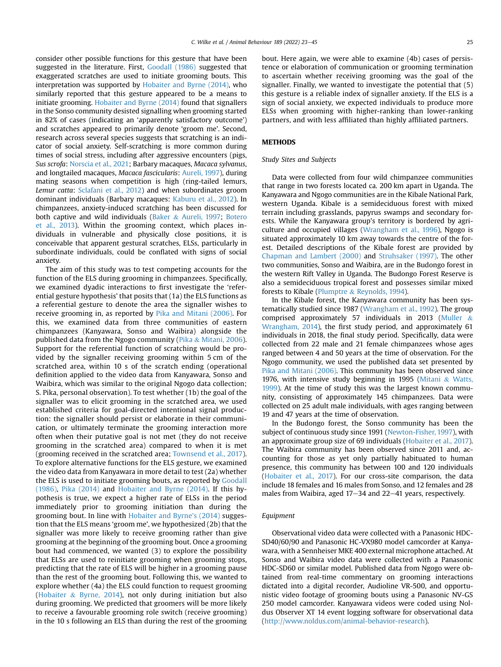consider other possible functions for this gesture that have been suggested in the literature. First, [Goodall \(1986\)](#page-13-12) suggested that exaggerated scratches are used to initiate grooming bouts. This interpretation was supported by [Hobaiter and Byrne \(2014\),](#page-14-25) who similarly reported that this gesture appeared to be a means to initiate grooming. [Hobaiter and Byrne \(2014\)](#page-14-25) found that signallers in the Sonso community desisted signalling when grooming started in 82% of cases (indicating an 'apparently satisfactory outcome') and scratches appeared to primarily denote 'groom me'. Second, research across several species suggests that scratching is an indicator of social anxiety. Self-scratching is more common during times of social stress, including after aggressive encounters (pigs, Sus scrofa: [Norscia et al., 2021](#page-14-29); Barbary macaques, Macaca sylvanus, and longtailed macaques, Macaca fascicularis: [Aureli, 1997](#page-13-15)), during mating seasons when competition is high (ring-tailed lemurs, Lemur catta: [Sclafani et al., 2012](#page-14-30)) and when subordinates groom dominant individuals (Barbary macaques: [Kaburu et al., 2012](#page-14-31)). In chimpanzees, anxiety-induced scratching has been discussed for both captive and wild individuals [\(Baker](#page-13-16) & [Aureli, 1997](#page-13-16); [Botero](#page-13-17) [et al., 2013\)](#page-13-17). Within the grooming context, which places individuals in vulnerable and physically close positions, it is conceivable that apparent gestural scratches, ELSs, particularly in subordinate individuals, could be conflated with signs of social anxiety.

The aim of this study was to test competing accounts for the function of the ELS during grooming in chimpanzees. Specifically, we examined dyadic interactions to first investigate the 'referential gesture hypothesis' that posits that (1a) the ELS functions as a referential gesture to denote the area the signaller wishes to receive grooming in, as reported by [Pika and Mitani \(2006\)](#page-14-27). For this, we examined data from three communities of eastern chimpanzees (Kanyawara, Sonso and Waibira) alongside the published data from the Ngogo community ([Pika](#page-14-27) & [Mitani, 2006\)](#page-14-27). Support for the referential function of scratching would be provided by the signaller receiving grooming within 5 cm of the scratched area, within 10 s of the scratch ending (operational definition applied to the video data from Kanyawara, Sonso and Waibira, which was similar to the original Ngogo data collection; S. Pika, personal observation). To test whether (1b) the goal of the signaller was to elicit grooming in the scratched area, we used established criteria for goal-directed intentional signal production: the signaller should persist or elaborate in their communication, or ultimately terminate the grooming interaction more often when their putative goal is not met (they do not receive grooming in the scratched area) compared to when it is met (grooming received in the scratched area; [Townsend et al., 2017\)](#page-14-32). To explore alternative functions for the ELS gesture, we examined the video data from Kanyawara in more detail to test (2a) whether the ELS is used to initiate grooming bouts, as reported by [Goodall](#page-13-12) [\(1986\),](#page-13-12) [Pika \(2014\)](#page-14-33) and [Hobaiter and Byrne \(2014\)](#page-14-25). If this hypothesis is true, we expect a higher rate of ELSs in the period immediately prior to grooming initiation than during the grooming bout. In line with [Hobaiter and Byrne's \(2014\)](#page-14-25) suggestion that the ELS means 'groom me', we hypothesized (2b) that the signaller was more likely to receive grooming rather than give grooming at the beginning of the grooming bout. Once a grooming bout had commenced, we wanted (3) to explore the possibility that ELSs are used to reinitiate grooming when grooming stops, predicting that the rate of ELS will be higher in a grooming pause than the rest of the grooming bout. Following this, we wanted to explore whether (4a) the ELS could function to request grooming ([Hobaiter](#page-14-25) & [Byrne, 2014](#page-14-25)), not only during initiation but also during grooming. We predicted that groomers will be more likely to receive a favourable grooming role switch (receive grooming) in the 10 s following an ELS than during the rest of the grooming bout. Here again, we were able to examine (4b) cases of persistence or elaboration of communication or grooming termination to ascertain whether receiving grooming was the goal of the signaller. Finally, we wanted to investigate the potential that (5) this gesture is a reliable index of signaller anxiety. If the ELS is a sign of social anxiety, we expected individuals to produce more ELSs when grooming with higher-ranking than lower-ranking partners, and with less affiliated than highly affiliated partners.

## **METHODS**

## Study Sites and Subjects

Data were collected from four wild chimpanzee communities that range in two forests located ca. 200 km apart in Uganda. The Kanyawara and Ngogo communities are in the Kibale National Park, western Uganda. Kibale is a semideciduous forest with mixed terrain including grasslands, papyrus swamps and secondary forests. While the Kanyawara group's territory is bordered by agriculture and occupied villages ([Wrangham et al., 1996](#page-14-34)), Ngogo is situated approximately 10 km away towards the centre of the forest. Detailed descriptions of the Kibale forest are provided by [Chapman and Lambert \(2000\)](#page-13-18) and [Struhsaker \(1997\)](#page-14-35). The other two communities, Sonso and Waibira, are in the Budongo forest in the western Rift Valley in Uganda. The Budongo Forest Reserve is also a semideciduous tropical forest and possesses similar mixed forests to Kibale [\(Plumptre](#page-14-36) & [Reynolds, 1994](#page-14-36)).

In the Kibale forest, the Kanyawara community has been systematically studied since 1987 ([Wrangham et al., 1992\)](#page-14-37). The group comprised approximately 57 individuals in 2013 ([Muller](#page-14-38) & [Wrangham, 2014\)](#page-14-38), the first study period, and approximately 61 individuals in 2018, the final study period. Specifically, data were collected from 22 male and 21 female chimpanzees whose ages ranged between 4 and 50 years at the time of observation. For the Ngogo community, we used the published data set presented by [Pika and Mitani \(2006\).](#page-14-27) This community has been observed since 1976, with intensive study beginning in 1995 [\(Mitani](#page-14-39) & [Watts,](#page-14-39) [1999\)](#page-14-39). At the time of study this was the largest known community, consisting of approximately 145 chimpanzees. Data were collected on 25 adult male individuals, with ages ranging between 19 and 47 years at the time of observation.

In the Budongo forest, the Sonso community has been the subject of continuous study since 1991 ([Newton-Fisher, 1997](#page-14-40)), with an approximate group size of 69 individuals ([Hobaiter et al., 2017\)](#page-14-41). The Waibira community has been observed since 2011 and, accounting for those as yet only partially habituated to human presence, this community has between 100 and 120 individuals ([Hobaiter et al., 2017\)](#page-14-41). For our cross-site comparison, the data include 18 females and 16 males from Sonso, and 12 females and 28 males from Waibira, aged  $17-34$  and  $22-41$  years, respectively.

## Equipment

Observational video data were collected with a Panasonic HDC-SD40/60/90 and Panasonic HC-VX980 model camcorder at Kanyawara, with a Sennheiser MKE 400 external microphone attached. At Sonso and Waibira video data were collected with a Panasonic HDC-SD60 or similar model. Published data from Ngogo were obtained from real-time commentary on grooming interactions dictated into a digital recorder, Audioline VR-500, and opportunistic video footage of grooming bouts using a Panasonic NV-GS 250 model camcorder. Kanyawara videos were coded using Noldus Observer XT 14 event logging software for observational data (<http://www.noldus.com/animal-behavior-research>).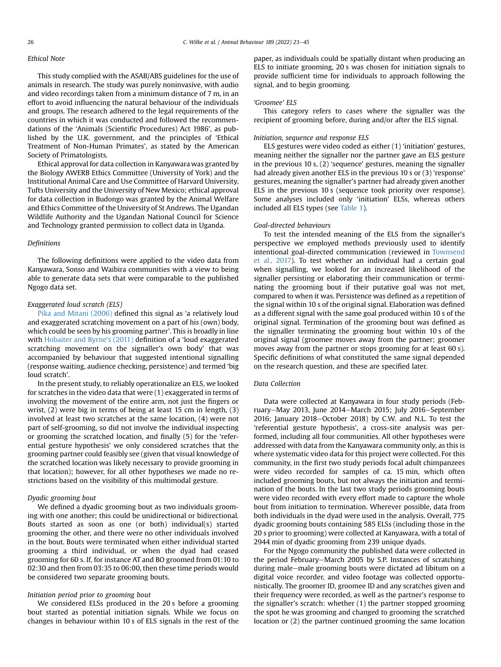## Ethical Note

This study complied with the ASAB/ABS guidelines for the use of animals in research. The study was purely noninvasive, with audio and video recordings taken from a minimum distance of 7 m, in an effort to avoid influencing the natural behaviour of the individuals and groups. The research adhered to the legal requirements of the countries in which it was conducted and followed the recommendations of the 'Animals (Scientific Procedures) Act 1986', as published by the U.K. government, and the principles of 'Ethical Treatment of Non-Human Primates', as stated by the American Society of Primatologists.

Ethical approval for data collection in Kanyawara was granted by the Biology AWERB Ethics Committee (University of York) and the Institutional Animal Care and Use Committee of Harvard University, Tufts University and the University of New Mexico; ethical approval for data collection in Budongo was granted by the Animal Welfare and Ethics Committee of the University of St Andrews. The Ugandan Wildlife Authority and the Ugandan National Council for Science and Technology granted permission to collect data in Uganda.

## Definitions

The following definitions were applied to the video data from Kanyawara, Sonso and Waibira communities with a view to being able to generate data sets that were comparable to the published Ngogo data set.

# Exaggerated loud scratch (ELS)

[Pika and Mitani \(2006\)](#page-14-27) defined this signal as 'a relatively loud and exaggerated scratching movement on a part of his (own) body, which could be seen by his grooming partner'. This is broadly in line with [Hobaiter and Byrne's \(2011\)](#page-14-26) definition of a 'loud exaggerated scratching movement on the signaller's own body' that was accompanied by behaviour that suggested intentional signalling (response waiting, audience checking, persistence) and termed 'big loud scratch'.

In the present study, to reliably operationalize an ELS, we looked for scratches in the video data that were (1) exaggerated in terms of involving the movement of the entire arm, not just the fingers or wrist, (2) were big in terms of being at least 15 cm in length, (3) involved at least two scratches at the same location, (4) were not part of self-grooming, so did not involve the individual inspecting or grooming the scratched location, and finally (5) for the 'referential gesture hypothesis' we only considered scratches that the grooming partner could feasibly see (given that visual knowledge of the scratched location was likely necessary to provide grooming in that location); however, for all other hypotheses we made no restrictions based on the visibility of this multimodal gesture.

# Dyadic grooming bout

We defined a dyadic grooming bout as two individuals grooming with one another; this could be unidirectional or bidirectional. Bouts started as soon as one (or both) individual(s) started grooming the other, and there were no other individuals involved in the bout. Bouts were terminated when either individual started grooming a third individual, or when the dyad had ceased grooming for 60 s. If, for instance AT and BO groomed from 01:10 to 02:30 and then from 03:35 to 06:00, then these time periods would be considered two separate grooming bouts.

## Initiation period prior to grooming bout

We considered ELSs produced in the 20 s before a grooming bout started as potential initiation signals. While we focus on changes in behaviour within 10 s of ELS signals in the rest of the paper, as individuals could be spatially distant when producing an ELS to initiate grooming, 20 s was chosen for initiation signals to provide sufficient time for individuals to approach following the signal, and to begin grooming.

### 'Groomee' ELS

This category refers to cases where the signaller was the recipient of grooming before, during and/or after the ELS signal.

#### Initiation, sequence and response ELS

ELS gestures were video coded as either (1) 'initiation' gestures, meaning neither the signaller nor the partner gave an ELS gesture in the previous 10 s, (2) 'sequence' gestures, meaning the signaller had already given another ELS in the previous 10 s or (3) 'response' gestures, meaning the signaller's partner had already given another ELS in the previous 10 s (sequence took priority over response). Some analyses included only 'initiation' ELSs, whereas others included all ELS types (see [Table 1\)](#page-4-0).

#### Goal-directed behaviours

To test the intended meaning of the ELS from the signaller's perspective we employed methods previously used to identify intentional goal-directed communication (reviewed in [Townsend](#page-14-32) [et al., 2017](#page-14-32)). To test whether an individual had a certain goal when signalling, we looked for an increased likelihood of the signaller persisting or elaborating their communication or terminating the grooming bout if their putative goal was not met, compared to when it was. Persistence was defined as a repetition of the signal within 10 s of the original signal. Elaboration was defined as a different signal with the same goal produced within 10 s of the original signal. Termination of the grooming bout was defined as the signaller terminating the grooming bout within 10 s of the original signal (groomee moves away from the partner; groomer moves away from the partner or stops grooming for at least 60 s). Specific definitions of what constituted the same signal depended on the research question, and these are specified later.

## Data Collection

Data were collected at Kanyawara in four study periods (February-May 2013, June 2014-March 2015; July 2016-September 2016; January 2018-October 2018) by C.W. and N.L. To test the 'referential gesture hypothesis', a cross-site analysis was performed, including all four communities. All other hypotheses were addressed with data from the Kanyawara community only, as this is where systematic video data for this project were collected. For this community, in the first two study periods focal adult chimpanzees were video recorded for samples of ca. 15 min, which often included grooming bouts, but not always the initiation and termination of the bouts. In the last two study periods grooming bouts were video recorded with every effort made to capture the whole bout from initiation to termination. Wherever possible, data from both individuals in the dyad were used in the analysis. Overall, 775 dyadic grooming bouts containing 585 ELSs (including those in the 20 s prior to grooming) were collected at Kanyawara, with a total of 2944 min of dyadic grooming from 239 unique dyads.

For the Ngogo community the published data were collected in the period February–March 2005 by S.P. Instances of scratching during male-male grooming bouts were dictated ad libitum on a digital voice recorder, and video footage was collected opportunistically. The groomer ID, groomee ID and any scratches given and their frequency were recorded, as well as the partner's response to the signaller's scratch: whether (1) the partner stopped grooming the spot he was grooming and changed to grooming the scratched location or (2) the partner continued grooming the same location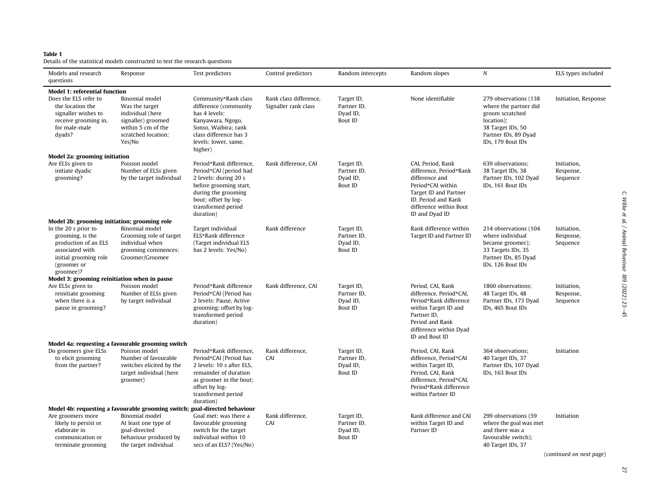## Table 1

<span id="page-4-0"></span>Details of the statistical models constructed to test the research questions

| Models and research<br>questions                                                                                                         | Response                                                                                                                                 | Test predictors                                                                                                                                                                         | Control predictors                             | Random intercepts                                       | Random slopes                                                                                                                                                                   | $\boldsymbol{N}$                                                                                                                                  | ELS types included                   |
|------------------------------------------------------------------------------------------------------------------------------------------|------------------------------------------------------------------------------------------------------------------------------------------|-----------------------------------------------------------------------------------------------------------------------------------------------------------------------------------------|------------------------------------------------|---------------------------------------------------------|---------------------------------------------------------------------------------------------------------------------------------------------------------------------------------|---------------------------------------------------------------------------------------------------------------------------------------------------|--------------------------------------|
| <b>Model 1: referential function</b>                                                                                                     |                                                                                                                                          |                                                                                                                                                                                         |                                                |                                                         |                                                                                                                                                                                 |                                                                                                                                                   |                                      |
| Does the ELS refer to<br>the location the<br>signaller wishes to<br>receive grooming in,<br>for male-male<br>dyads?                      | <b>Binomial</b> model<br>Was the target<br>individual (here<br>signaller) groomed<br>within 5 cm of the<br>scratched location:<br>Yes/No | Community*Rank class<br>difference (community<br>has 4 levels:<br>Kanyawara, Ngogo,<br>Sonso, Waibira; rank<br>class difference has 3<br>levels: lower, same,<br>higher)                | Rank class difference,<br>Signaller rank class | Target ID,<br>Partner ID,<br>Dyad ID,<br>Bout ID        | None identifiable                                                                                                                                                               | 279 observations (138<br>where the partner did<br>groom scratched<br>location);<br>38 Target IDs, 50<br>Partner IDs, 89 Dyad<br>IDs, 179 Bout IDs | Initiation, Response                 |
| <b>Model 2a: grooming initiation</b>                                                                                                     |                                                                                                                                          |                                                                                                                                                                                         |                                                |                                                         |                                                                                                                                                                                 |                                                                                                                                                   |                                      |
| Are ELSs given to<br>initiate dyadic<br>grooming?                                                                                        | Poisson model<br>Number of ELSs given<br>by the target individual                                                                        | Period*Rank difference,<br>Period*CAI (period had<br>2 levels: during 20 s<br>before grooming start,<br>during the grooming<br>bout; offset by log-<br>transformed period<br>duration)  | Rank difference, CAI                           | Target ID,<br>Partner ID,<br>Dyad ID,<br>Bout ID        | CAI, Period, Rank<br>difference, Period*Rank<br>difference and<br>Period*CAI within<br>Target ID and Partner<br>ID. Period and Rank<br>difference within Bout<br>ID and Dyad ID | 639 observations;<br>38 Target IDs, 38<br>Partner IDs, 102 Dyad<br>IDs, 161 Bout IDs                                                              | Initiation,<br>Response,<br>Sequence |
| Model 2b: grooming initiation; grooming role                                                                                             |                                                                                                                                          |                                                                                                                                                                                         |                                                |                                                         |                                                                                                                                                                                 |                                                                                                                                                   |                                      |
| In the 20 s prior to<br>grooming, is the<br>production of an ELS<br>associated with<br>initial grooming role<br>(groomer or<br>groomee)? | <b>Binomial</b> model<br>Grooming role of target<br>individual when<br>grooming commences:<br>Groomer/Groomee                            | Target individual<br>ELS*Rank difference<br>(Target individual ELS<br>has 2 levels: Yes/No)                                                                                             | Rank difference                                | Target ID,<br>Partner ID,<br>Dyad ID,<br>Bout ID        | Rank difference within<br>Target ID and Partner ID                                                                                                                              | 214 observations (104<br>where individual<br>became groomer);<br>33 Targets IDs, 35<br>Partner IDs, 85 Dyad<br>IDs, 126 Bout IDs                  | Initiation,<br>Response,<br>Sequence |
| Model 3: grooming reinitiation when in pause                                                                                             |                                                                                                                                          |                                                                                                                                                                                         |                                                |                                                         |                                                                                                                                                                                 |                                                                                                                                                   |                                      |
| Are ELSs given to<br>reinitiate grooming<br>when there is a<br>pause in grooming?                                                        | Poisson model<br>Number of ELSs given<br>by target individual                                                                            | Period*Rank difference<br>Period*CAI (Period has<br>2 levels: Pause, Active<br>grooming; offset by log-<br>transformed period<br>duration)                                              | Rank difference, CAI                           | Target ID,<br>Partner ID,<br>Dyad ID,<br>Bout ID        | Period, CAI, Rank<br>difference, Period*CAI,<br>Period*Rank difference<br>within Target ID and<br>Partner ID,<br>Period and Rank<br>difference within Dyad<br>ID and Bout ID    | 1860 observations;<br>48 Target IDs, 48<br>Partner IDs, 173 Dyad<br>IDs, 465 Bout IDs                                                             | Initiation,<br>Response,<br>Sequence |
|                                                                                                                                          | Model 4a: requesting a favourable grooming switch                                                                                        |                                                                                                                                                                                         |                                                |                                                         |                                                                                                                                                                                 |                                                                                                                                                   |                                      |
| Do groomers give ELSs<br>to elicit grooming<br>from the partner?                                                                         | Poisson model<br>Number of favourable<br>switches elicited by the<br>target individual (here<br>groomer)                                 | Period*Rank difference,<br>Period*CAI (Period has<br>2 levels: 10 s after ELS.<br>remainder of duration<br>as groomer in the bout;<br>offset by log-<br>transformed period<br>duration) | Rank difference,<br>CAI                        | Target ID,<br>Partner ID,<br>Dyad ID,<br>Bout ID        | Period, CAI, Rank<br>difference, Period*CAI<br>within Target ID,<br>Period, CAI, Rank<br>difference, Period*CAI,<br>Period*Rank difference<br>within Partner ID                 | 364 observations;<br>40 Target IDs, 37<br>Partner IDs, 107 Dyad<br>IDs, 163 Bout IDs                                                              | Initiation                           |
|                                                                                                                                          | Model 4b: requesting a favourable grooming switch; goal-directed behaviour                                                               |                                                                                                                                                                                         |                                                |                                                         |                                                                                                                                                                                 |                                                                                                                                                   |                                      |
| Are groomers more<br>likely to persist or<br>elaborate in<br>communication or<br>terminate grooming                                      | <b>Binomial</b> model<br>At least one type of<br>goal-directed<br>behaviour produced by<br>the target individual                         | Goal met: was there a<br>favourable grooming<br>switch for the target<br>individual within 10<br>secs of an ELS? (Yes/No)                                                               | Rank difference,<br>CAI                        | Target ID,<br>Partner ID.<br>Dyad ID,<br><b>Bout ID</b> | Rank difference and CAI<br>within Target ID and<br>Partner ID                                                                                                                   | 299 observations (59<br>where the goal was met<br>and there was a<br>favourable switch);<br>40 Target IDs, 37                                     | Initiation                           |

(continued on next page)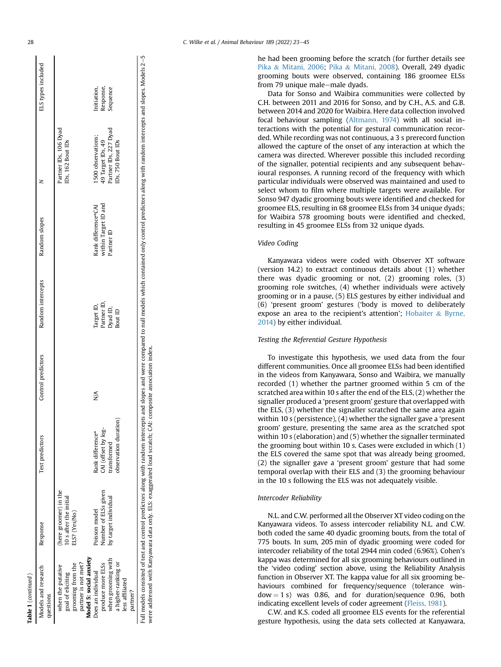| ĸ. |
|----|

Table 1

| ELS types included                  |                                                                                                                                     | Random slopes                                             | Random intercepts                                | Control predictors | Test predictors                                                                 | Response                                                                                                                         | Models and research<br>questions                                                                                                                                                                                                     |
|-------------------------------------|-------------------------------------------------------------------------------------------------------------------------------------|-----------------------------------------------------------|--------------------------------------------------|--------------------|---------------------------------------------------------------------------------|----------------------------------------------------------------------------------------------------------------------------------|--------------------------------------------------------------------------------------------------------------------------------------------------------------------------------------------------------------------------------------|
| Response,<br>sequence<br>nitiation, | Partner IDs, 106 Dyad<br>Partner IDs, 227 Dyad<br>1500 observations;<br>49 Target IDs, 49<br>IDs, 750 Bout IDs<br>IDs, 162 Bout IDs | within Target ID and<br>Rank difference*CAI<br>Partner ID | Partner ID,<br>Target ID,<br>Dyad ID,<br>Bout ID | $\frac{1}{2}$      | observation duration)<br>CAI (offset by log-<br>Rank difference*<br>transformed | here groomer) in the<br>Number of ELSs given<br>10 s after the initial<br>by target individual<br>Poisson model<br>ELS? (Yes/No) | Model 5: social anxiety<br>when grooming with<br>partner is not met?<br>a higher-ranking or<br>produce more ELSs<br>grooming from the<br>when the putative<br>Joes an individual<br>goal of eliciting<br>less affiliated<br>partner? |
|                                     |                                                                                                                                     |                                                           |                                                  |                    |                                                                                 |                                                                                                                                  |                                                                                                                                                                                                                                      |
|                                     |                                                                                                                                     |                                                           |                                                  |                    |                                                                                 |                                                                                                                                  |                                                                                                                                                                                                                                      |
|                                     |                                                                                                                                     |                                                           |                                                  |                    |                                                                                 |                                                                                                                                  |                                                                                                                                                                                                                                      |
|                                     |                                                                                                                                     |                                                           |                                                  |                    |                                                                                 |                                                                                                                                  |                                                                                                                                                                                                                                      |
|                                     |                                                                                                                                     |                                                           |                                                  |                    |                                                                                 |                                                                                                                                  |                                                                                                                                                                                                                                      |
|                                     |                                                                                                                                     |                                                           |                                                  |                    |                                                                                 |                                                                                                                                  |                                                                                                                                                                                                                                      |
|                                     |                                                                                                                                     |                                                           |                                                  |                    |                                                                                 |                                                                                                                                  |                                                                                                                                                                                                                                      |
|                                     |                                                                                                                                     |                                                           |                                                  |                    |                                                                                 |                                                                                                                                  |                                                                                                                                                                                                                                      |
|                                     |                                                                                                                                     |                                                           |                                                  |                    |                                                                                 |                                                                                                                                  |                                                                                                                                                                                                                                      |

he had been grooming before the scratch (for further details see [Pika](#page-14-27) & [Mitani, 2006](#page-14-27); [Pika](#page-14-42) & [Mitani, 2008\)](#page-14-42). Overall, 249 dyadic grooming bouts were observed, containing 186 groomee ELSs from 79 unique male-male dyads.

Data for Sonso and Waibira communities were collected by C.H. between 2011 and 2016 for Sonso, and by C.H., A.S. and G.B. between 2014 and 2020 for Waibira. Here data collection involved focal behaviour sampling ([Altmann, 1974](#page-13-19)) with all social interactions with the potential for gestural communication recorded. While recording was not continuous, a 3 s prerecord function allowed the capture of the onset of any interaction at which the camera was directed. Wherever possible this included recording of the signaller, potential recipients and any subsequent behavioural responses. A running record of the frequency with which particular individuals were observed was maintained and used to select whom to film where multiple targets were available. For Sonso 947 dyadic grooming bouts were identified and checked for groomee ELS, resulting in 68 groomee ELSs from 34 unique dyads; for Waibira 578 grooming bouts were identified and checked, resulting in 45 groomee ELSs from 32 unique dyads.

## Video Coding

Kanyawara videos were coded with Observer XT software (version 14.2) to extract continuous details about (1) whether there was dyadic grooming or not, (2) grooming roles, (3) grooming role switches, (4) whether individuals were actively grooming or in a pause, (5) ELS gestures by either individual and (6) 'present groom' gestures ('body is moved to deliberately expose an area to the recipient's attention'; [Hobaiter](#page-14-25) & [Byrne,](#page-14-25) [2014\)](#page-14-25) by either individual.

## Testing the Referential Gesture Hypothesis

To investigate this hypothesis, we used data from the four different communities. Once all groomee ELSs had been identified in the videos from Kanyawara, Sonso and Waibira, we manually recorded (1) whether the partner groomed within 5 cm of the scratched area within 10 s after the end of the ELS, (2) whether the signaller produced a 'present groom' gesture that overlapped with the ELS, (3) whether the signaller scratched the same area again within 10 s (persistence), (4) whether the signaller gave a 'present groom' gesture, presenting the same area as the scratched spot within 10 s (elaboration) and (5) whether the signaller terminated the grooming bout within 10 s. Cases were excluded in which (1) the ELS covered the same spot that was already being groomed, (2) the signaller gave a 'present groom' gesture that had some temporal overlap with their ELS and (3) the grooming behaviour in the 10 s following the ELS was not adequately visible.

# Intercoder Reliability

N.L. and C.W. performed all the Observer XT video coding on the Kanyawara videos. To assess intercoder reliability N.L. and C.W. both coded the same 40 dyadic grooming bouts, from the total of 775 bouts. In sum, 205 min of dyadic grooming were coded for intercoder reliability of the total 2944 min coded (6.96%). Cohen's kappa was determined for all six grooming behaviours outlined in the 'video coding' section above, using the Reliability Analysis function in Observer XT. The kappa value for all six grooming behaviours combined for frequency/sequence (tolerance win $dow = 1 s$ ) was 0.86, and for duration/sequence 0.96, both indicating excellent levels of coder agreement [\(Fleiss, 1981\)](#page-13-20).

C.W. and K.S. coded all groomee ELS events for the referential gesture hypothesis, using the data sets collected at Kanyawara,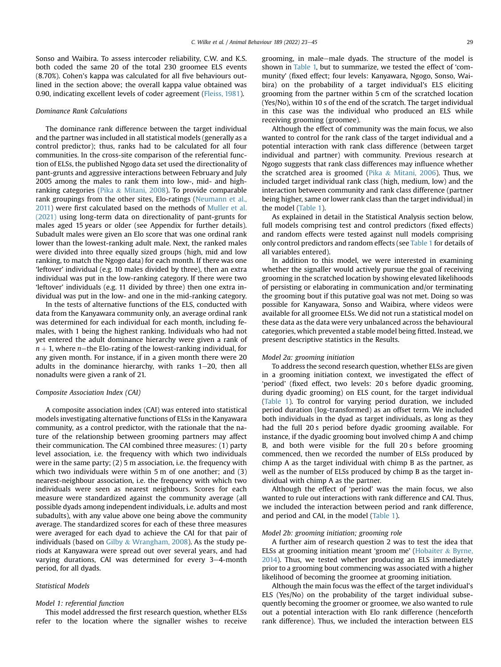Sonso and Waibira. To assess intercoder reliability, C.W. and K.S. both coded the same 20 of the total 230 groomee ELS events (8.70%). Cohen's kappa was calculated for all five behaviours outlined in the section above; the overall kappa value obtained was 0.90, indicating excellent levels of coder agreement ([Fleiss, 1981\)](#page-13-20).

#### Dominance Rank Calculations

The dominance rank difference between the target individual and the partner was included in all statistical models (generally as a control predictor); thus, ranks had to be calculated for all four communities. In the cross-site comparison of the referential function of ELSs, the published Ngogo data set used the directionality of pant-grunts and aggressive interactions between February and July 2005 among the males to rank them into low-, mid- and highranking categories [\(Pika](#page-14-42) & [Mitani, 2008](#page-14-42)). To provide comparable rank groupings from the other sites, Elo-ratings ([Neumann et al.,](#page-14-43) [2011](#page-14-43)) were first calculated based on the methods of [Muller et al.](#page-14-44) [\(2021\)](#page-14-44) using long-term data on directionality of pant-grunts for males aged 15 years or older (see Appendix for further details). Subadult males were given an Elo score that was one ordinal rank lower than the lowest-ranking adult male. Next, the ranked males were divided into three equally sized groups (high, mid and low ranking, to match the Ngogo data) for each month. If there was one 'leftover' individual (e.g. 10 males divided by three), then an extra individual was put in the low-ranking category. If there were two 'leftover' individuals (e.g. 11 divided by three) then one extra individual was put in the low- and one in the mid-ranking category.

In the tests of alternative functions of the ELS, conducted with data from the Kanyawara community only, an average ordinal rank was determined for each individual for each month, including females, with 1 being the highest ranking. Individuals who had not yet entered the adult dominance hierarchy were given a rank of  $n + 1$ , where *n*=the Elo-rating of the lowest-ranking individual, for any given month. For instance, if in a given month there were 20 adults in the dominance hierarchy, with ranks  $1-20$ , then all nonadults were given a rank of 21.

#### Composite Association Index (CAI)

A composite association index (CAI) was entered into statistical models investigating alternative functions of ELSs in the Kanyawara community, as a control predictor, with the rationale that the nature of the relationship between grooming partners may affect their communication. The CAI combined three measures: (1) party level association, i.e. the frequency with which two individuals were in the same party; (2) 5 m association, i.e. the frequency with which two individuals were within 5 m of one another; and (3) nearest-neighbour association, i.e. the frequency with which two individuals were seen as nearest neighbours. Scores for each measure were standardized against the community average (all possible dyads among independent individuals, i.e. adults and most subadults), with any value above one being above the community average. The standardized scores for each of these three measures were averaged for each dyad to achieve the CAI for that pair of individuals (based on [Gilby](#page-13-21)  $&$  [Wrangham, 2008](#page-13-21)). As the study periods at Kanyawara were spread out over several years, and had varying durations, CAI was determined for every  $3-4$ -month period, for all dyads.

# Statistical Models

# Model 1: referential function

This model addressed the first research question, whether ELSs refer to the location where the signaller wishes to receive grooming, in male–male dyads. The structure of the model is shown in [Table 1,](#page-4-0) but to summarize, we tested the effect of 'community' (fixed effect; four levels: Kanyawara, Ngogo, Sonso, Waibira) on the probability of a target individual's ELS eliciting grooming from the partner within 5 cm of the scratched location (Yes/No), within 10 s of the end of the scratch. The target individual in this case was the individual who produced an ELS while receiving grooming (groomee).

Although the effect of community was the main focus, we also wanted to control for the rank class of the target individual and a potential interaction with rank class difference (between target individual and partner) with community. Previous research at Ngogo suggests that rank class differences may influence whether the scratched area is groomed ([Pika](#page-14-27)  $&$  [Mitani, 2006\)](#page-14-27). Thus, we included target individual rank class (high, medium, low) and the interaction between community and rank class difference (partner being higher, same or lower rank class than the target individual) in the model ([Table 1\)](#page-4-0).

As explained in detail in the Statistical Analysis section below, full models comprising test and control predictors (fixed effects) and random effects were tested against null models comprising only control predictors and random effects (see [Table 1](#page-4-0) for details of all variables entered).

In addition to this model, we were interested in examining whether the signaller would actively pursue the goal of receiving grooming in the scratched location by showing elevated likelihoods of persisting or elaborating in communication and/or terminating the grooming bout if this putative goal was not met. Doing so was possible for Kanyawara, Sonso and Waibira, where videos were available for all groomee ELSs. We did not run a statistical model on these data as the data were very unbalanced across the behavioural categories, which prevented a stable model being fitted. Instead, we present descriptive statistics in the Results.

#### Model 2a: grooming initiation

To address the second research question, whether ELSs are given in a grooming initiation context, we investigated the effect of 'period' (fixed effect, two levels: 20 s before dyadic grooming, during dyadic grooming) on ELS count, for the target individual ([Table 1\)](#page-4-0). To control for varying period duration, we included period duration (log-transformed) as an offset term. We included both individuals in the dyad as target individuals, as long as they had the full 20 s period before dyadic grooming available. For instance, if the dyadic grooming bout involved chimp A and chimp B, and both were visible for the full 20 s before grooming commenced, then we recorded the number of ELSs produced by chimp A as the target individual with chimp B as the partner, as well as the number of ELSs produced by chimp B as the target individual with chimp A as the partner.

Although the effect of 'period' was the main focus, we also wanted to rule out interactions with rank difference and CAI. Thus, we included the interaction between period and rank difference, and period and CAI, in the model [\(Table 1](#page-4-0)).

## Model 2b: grooming initiation; grooming role

A further aim of research question 2 was to test the idea that ELSs at grooming initiation meant 'groom me' ([Hobaiter](#page-14-25) & [Byrne,](#page-14-25) [2014\)](#page-14-25). Thus, we tested whether producing an ELS immediately prior to a grooming bout commencing was associated with a higher likelihood of becoming the groomee at grooming initiation.

Although the main focus was the effect of the target individual's ELS (Yes/No) on the probability of the target individual subsequently becoming the groomer or groomee, we also wanted to rule out a potential interaction with Elo rank difference (henceforth rank difference). Thus, we included the interaction between ELS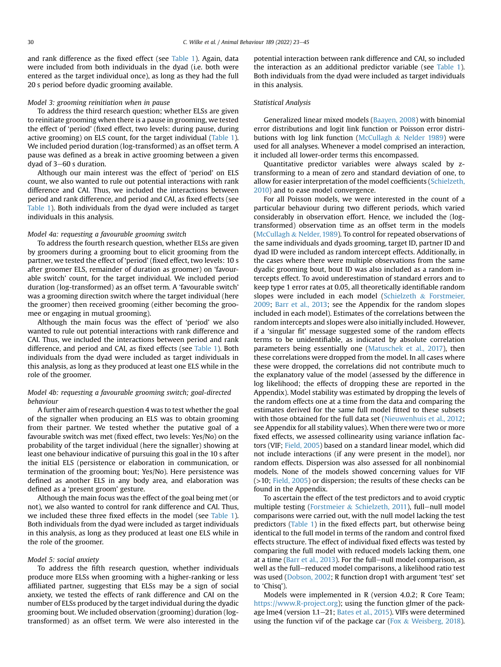and rank difference as the fixed effect (see [Table 1](#page-4-0)). Again, data were included from both individuals in the dyad (i.e. both were entered as the target individual once), as long as they had the full 20 s period before dyadic grooming available.

# Model 3: grooming reinitiation when in pause

To address the third research question; whether ELSs are given to reinitiate grooming when there is a pause in grooming, we tested the effect of 'period' (fixed effect, two levels: during pause, during active grooming) on ELS count, for the target individual ([Table 1\)](#page-4-0). We included period duration (log-transformed) as an offset term. A pause was defined as a break in active grooming between a given dyad of  $3-60$  s duration.

Although our main interest was the effect of 'period' on ELS count, we also wanted to rule out potential interactions with rank difference and CAI. Thus, we included the interactions between period and rank difference, and period and CAI, as fixed effects (see [Table 1\)](#page-4-0). Both individuals from the dyad were included as target individuals in this analysis.

#### Model 4a: requesting a favourable grooming switch

To address the fourth research question, whether ELSs are given by groomers during a grooming bout to elicit grooming from the partner, we tested the effect of 'period' (fixed effect, two levels: 10 s after groomer ELS, remainder of duration as groomer) on 'favourable switch' count, for the target individual. We included period duration (log-transformed) as an offset term. A 'favourable switch' was a grooming direction switch where the target individual (here the groomer) then received grooming (either becoming the groomee or engaging in mutual grooming).

Although the main focus was the effect of 'period' we also wanted to rule out potential interactions with rank difference and CAI. Thus, we included the interactions between period and rank difference, and period and CAI, as fixed effects (see [Table 1\)](#page-4-0). Both individuals from the dyad were included as target individuals in this analysis, as long as they produced at least one ELS while in the role of the groomer.

## Model 4b: requesting a favourable grooming switch; goal-directed behaviour

A further aim of research question 4 was to test whether the goal of the signaller when producing an ELS was to obtain grooming from their partner. We tested whether the putative goal of a favourable switch was met (fixed effect, two levels: Yes/No) on the probability of the target individual (here the signaller) showing at least one behaviour indicative of pursuing this goal in the 10 s after the initial ELS (persistence or elaboration in communication, or termination of the grooming bout; Yes/No). Here persistence was defined as another ELS in any body area, and elaboration was defined as a 'present groom' gesture.

Although the main focus was the effect of the goal being met (or not), we also wanted to control for rank difference and CAI. Thus, we included these three fixed effects in the model (see [Table 1\)](#page-4-0). Both individuals from the dyad were included as target individuals in this analysis, as long as they produced at least one ELS while in the role of the groomer.

#### Model 5: social anxiety

To address the fifth research question, whether individuals produce more ELSs when grooming with a higher-ranking or less affiliated partner, suggesting that ELSs may be a sign of social anxiety, we tested the effects of rank difference and CAI on the number of ELSs produced by the target individual during the dyadic grooming bout. We included observation (grooming) duration (logtransformed) as an offset term. We were also interested in the potential interaction between rank difference and CAI, so included the interaction as an additional predictor variable (see [Table 1\)](#page-4-0). Both individuals from the dyad were included as target individuals in this analysis.

# Statistical Analysis

Generalized linear mixed models ([Baayen, 2008](#page-13-22)) with binomial error distributions and logit link function or Poisson error distributions with log link function [\(McCullagh](#page-14-45) & [Nelder 1989](#page-14-45)) were used for all analyses. Whenever a model comprised an interaction, it included all lower-order terms this encompassed.

Quantitative predictor variables were always scaled by ztransforming to a mean of zero and standard deviation of one, to allow for easier interpretation of the model coefficients [\(Schielzeth,](#page-14-46) [2010\)](#page-14-46) and to ease model convergence.

For all Poisson models, we were interested in the count of a particular behaviour during two different periods, which varied considerably in observation effort. Hence, we included the (logtransformed) observation time as an offset term in the models ([McCullagh](#page-14-45) & [Nelder, 1989](#page-14-45)). To control for repeated observations of the same individuals and dyads grooming, target ID, partner ID and dyad ID were included as random intercept effects. Additionally, in the cases where there were multiple observations from the same dyadic grooming bout, bout ID was also included as a random intercepts effect. To avoid underestimation of standard errors and to keep type 1 error rates at 0.05, all theoretically identifiable random slopes were included in each model [\(Schielzeth](#page-14-47) & [Forstmeier,](#page-14-47) [2009](#page-14-47); [Barr et al., 2013](#page-13-23); see the Appendix for the random slopes included in each model). Estimates of the correlations between the random intercepts and slopes were also initially included. However, if a 'singular fit' message suggested some of the random effects terms to be unidentifiable, as indicated by absolute correlation parameters being essentially one ([Matuschek et al., 2017\)](#page-14-48), then these correlations were dropped from the model. In all cases where these were dropped, the correlations did not contribute much to the explanatory value of the model (assessed by the difference in log likelihood; the effects of dropping these are reported in the Appendix). Model stability was estimated by dropping the levels of the random effects one at a time from the data and comparing the estimates derived for the same full model fitted to these subsets with those obtained for the full data set [\(Nieuwenhuis et al., 2012](#page-14-49); see Appendix for all stability values). When there were two or more fixed effects, we assessed collinearity using variance inflation factors (VIF; [Field, 2005](#page-13-24)) based on a standard linear model, which did not include interactions (if any were present in the model), nor random effects. Dispersion was also assessed for all nonbinomial models. None of the models showed concerning values for VIF  $(>10;$  [Field, 2005](#page-13-24)) or dispersion; the results of these checks can be found in the Appendix.

To ascertain the effect of the test predictors and to avoid cryptic multiple testing [\(Forstmeier](#page-13-25) & [Schielzeth, 2011](#page-13-25)), full-null model comparisons were carried out, with the null model lacking the test predictors [\(Table 1\)](#page-4-0) in the fixed effects part, but otherwise being identical to the full model in terms of the random and control fixed effects structure. The effect of individual fixed effects was tested by comparing the full model with reduced models lacking them, one at a time [\(Barr et al., 2013\)](#page-13-23). For the full-null model comparison, as well as the full–reduced model comparisons, a likelihood ratio test was used ([Dobson, 2002](#page-13-26); R function drop1 with argument 'test' set to 'Chisq').

Models were implemented in R (version 4.0.2; R Core Team; [https://www.R-project.org\)](https://www.R-project.org); using the function glmer of the pack-age lme4 (version 1.1-21; [Bates et al., 2015](#page-13-27)). VIFs were determined using the function vif of the package car [\(Fox](#page-13-28)  $\&$  [Weisberg, 2018\)](#page-13-28).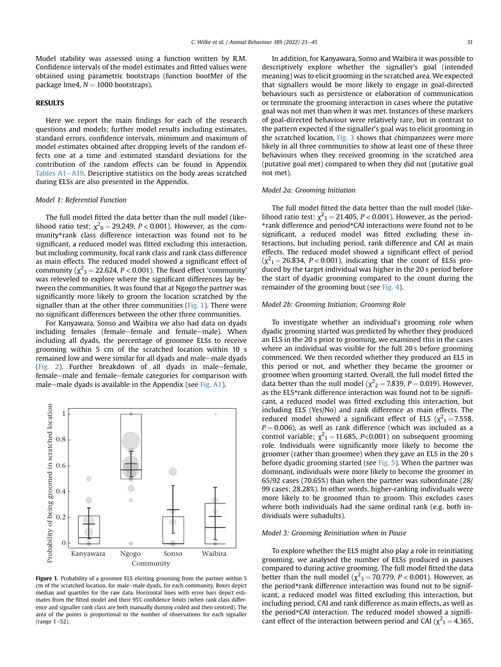Model stability was assessed using a function written by R.M. Confidence intervals of the model estimates and fitted values were obtained using parametric bootstraps (function bootMer of the package lme4,  $N = 1000$  bootstraps).

# **RESULTS**

Here we report the main findings for each of the research questions and models; further model results including estimates, standard errors, confidence intervals, minimum and maximum of model estimates obtained after dropping levels of the random effects one at a time and estimated standard deviations for the contribution of the random effects can be found in Appendix Tables  $A1-A19$ . Descriptive statistics on the body areas scratched during ELSs are also presented in the Appendix.

#### Model 1: Referential Function

The full model fitted the data better than the null model (likelihood ratio test:  $\chi^2$ <sub>9</sub> = 29.249, *P* < 0.001). However, as the community\*rank class difference interaction was found not to be significant, a reduced model was fitted excluding this interaction, but including community, focal rank class and rank class difference as main effects. The reduced model showed a significant effect of community ( $\chi^2$ <sub>3</sub> = 22.624, *P* < 0.001). The fixed effect 'community' was releveled to explore where the significant differences lay between the communities. It was found that at Ngogo the partner was significantly more likely to groom the location scratched by the signaller than at the other three communities [\(Fig. 1\)](#page-8-0). There were no significant differences between the other three communities.

For Kanyawara, Sonso and Waibira we also had data on dyads including females (female–female and female–male). When including all dyads, the percentage of groomee ELSs to receive grooming within 5 cm of the scratched location within 10 s remained low and were similar for all dyads and male-male dyads ([Fig. 2](#page-9-0)). Further breakdown of all dyads in male-female, female–male and female–female categories for comparison with male-male dyads is available in the Appendix (see Fig.  $A1$ ).

<span id="page-8-0"></span>

Figure 1. Probability of a groomee ELS eliciting grooming from the partner within 5 cm of the scratched location, for male-male dyads, for each community. Boxes depict median and quartiles for the raw data. Horizontal lines with error bars depict estimates from the fitted model and their 95% confidence limits (when rank class difference and signaller rank class are both manually dummy coded and then centred). The area of the points is proportional to the number of observations for each signaller (range  $1-52$ ).

In addition, for Kanyawara, Sonso and Waibira it was possible to descriptively explore whether the signaller's goal (intended meaning) was to elicit grooming in the scratched area. We expected that signallers would be more likely to engage in goal-directed behaviours such as persistence or elaboration of communication or terminate the grooming interaction in cases where the putative goal was not met than when it was met. Instances of these markers of goal-directed behaviour were relatively rare, but in contrast to the pattern expected if the signaller's goal was to elicit grooming in the scratched location, [Fig. 3](#page-9-1) shows that chimpanzees were more likely in all three communities to show at least one of these three behaviours when they received grooming in the scratched area (putative goal met) compared to when they did not (putative goal not met).

#### Model 2a: Grooming Initiation

The full model fitted the data better than the null model (likelihood ratio test:  $\chi^2$ <sub>3</sub> = 21.405, *P* < 0.001). However, as the period-\*rank difference and period\*CAI interactions were found not to be significant, a reduced model was fitted excluding these interactions, but including period, rank difference and CAI as main effects. The reduced model showed a significant effect of period  $(\chi^2_1 = 26.834, P < 0.001)$ , indicating that the count of ELSs produced by the target individual was higher in the 20 s period before the start of dyadic grooming compared to the count during the remainder of the grooming bout (see [Fig. 4\)](#page-10-0).

## Model 2b: Grooming Initiation; Grooming Role

To investigate whether an individual's grooming role when dyadic grooming started was predicted by whether they produced an ELS in the 20 s prior to grooming, we examined this in the cases where an individual was visible for the full 20 s before grooming commenced. We then recorded whether they produced an ELS in this period or not, and whether they became the groomer or groomee when grooming started. Overall, the full model fitted the data better than the null model ( $\chi^2$ <sub>2</sub> = 7.839, *P* = 0.019). However, as the ELS\*rank difference interaction was found not to be significant, a reduced model was fitted excluding this interaction, but including ELS (Yes/No) and rank difference as main effects. The reduced model showed a significant effect of ELS ( $\chi^2$ <sub>1</sub> = 7.558,  $P = 0.006$ ), as well as rank difference (which was included as a control variable;  $\chi^2$ <sub>1</sub> = 11.685, P<0.001) on subsequent grooming role. Individuals were significantly more likely to become the groomer (rather than groomee) when they gave an ELS in the 20 s before dyadic grooming started (see [Fig. 5](#page-10-1)). When the partner was dominant, individuals were more likely to become the groomer in 65/92 cases (70.65%) than when the partner was subordinate (28/ 99 cases; 28.28%). In other words, higher-ranking individuals were more likely to be groomed than to groom. This excludes cases where both individuals had the same ordinal rank (e.g. both individuals were subadults).

## Model 3: Grooming Reinitiation when in Pause

To explore whether the ELS might also play a role in reinitiating grooming, we analysed the number of ELSs produced in pauses compared to during active grooming. The full model fitted the data better than the null model ( $\chi^2$ <sub>3</sub> = 70.779, *P* < 0.001). However, as the period\*rank difference interaction was found not to be significant, a reduced model was fitted excluding this interaction, but including period, CAI and rank difference as main effects, as well as the period\*CAI interaction. The reduced model showed a significant effect of the interaction between period and CAI ( $\chi^2$ <sub>1</sub> = 4.365,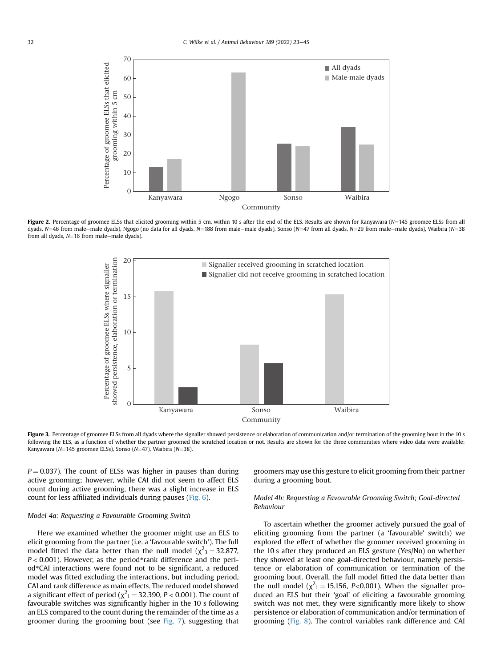<span id="page-9-0"></span>

<span id="page-9-1"></span>Figure 2. Percentage of groomee ELSs that elicited grooming within 5 cm, within 10 s after the end of the ELS. Results are shown for Kanyawara (N=145 groomee ELSs from all dyads, N=46 from male-male dyads), Ngogo (no data for all dyads, N=188 from male-male dyads), Sonso (N=47 from all dyads, N=29 from male-male dyads), Waibira (N=38 from all dyads,  $N=16$  from male-male dyads).



Figure 3. Percentage of groomee ELSs from all dyads where the signaller showed persistence or elaboration of communication and/or termination of the grooming bout in the 10 s following the ELS, as a function of whether the partner groomed the scratched location or not. Results are shown for the three communities where video data were available: Kanyawara (N=145 groomee ELSs), Sonso (N=47), Waibira (N=38).

 $P = 0.037$ ). The count of ELSs was higher in pauses than during active grooming; however, while CAI did not seem to affect ELS count during active grooming, there was a slight increase in ELS count for less affiliated individuals during pauses ([Fig. 6\)](#page-11-0).

## Model 4a: Requesting a Favourable Grooming Switch

Here we examined whether the groomer might use an ELS to elicit grooming from the partner (i.e. a 'favourable switch'). The full model fitted the data better than the null model ( $\chi^2$ <sub>3</sub> = 32.877,  $P < 0.001$ ). However, as the period\*rank difference and the period\*CAI interactions were found not to be significant, a reduced model was fitted excluding the interactions, but including period, CAI and rank difference as main effects. The reduced model showed a significant effect of period ( $\chi^2$ <sub>1</sub> = 32.390, *P* < 0.001). The count of favourable switches was significantly higher in the 10 s following an ELS compared to the count during the remainder of the time as a groomer during the grooming bout (see [Fig. 7\)](#page-11-1), suggesting that groomers may use this gesture to elicit grooming from their partner during a grooming bout.

# Model 4b: Requesting a Favourable Grooming Switch; Goal-directed Behaviour

To ascertain whether the groomer actively pursued the goal of eliciting grooming from the partner (a 'favourable' switch) we explored the effect of whether the groomer received grooming in the 10 s after they produced an ELS gesture (Yes/No) on whether they showed at least one goal-directed behaviour, namely persistence or elaboration of communication or termination of the grooming bout. Overall, the full model fitted the data better than the null model ( $\chi^2$ <sub>1</sub> = 15.156, *P*<0.001). When the signaller produced an ELS but their 'goal' of eliciting a favourable grooming switch was not met, they were significantly more likely to show persistence or elaboration of communication and/or termination of grooming [\(Fig. 8](#page-11-2)). The control variables rank difference and CAI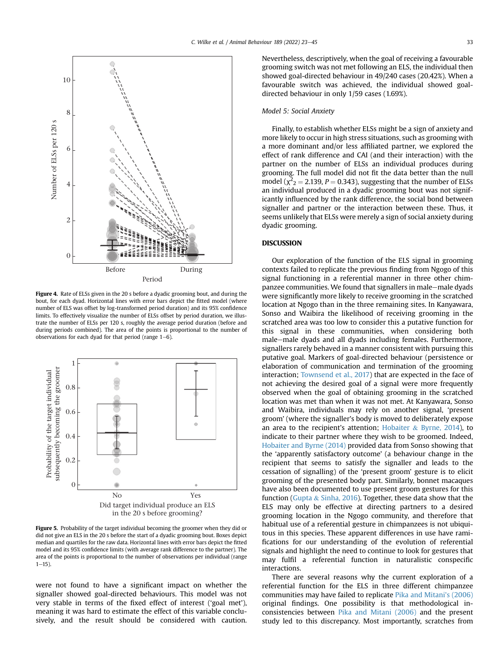<span id="page-10-0"></span>

Figure 4. Rate of ELSs given in the 20 s before a dyadic grooming bout, and during the bout, for each dyad. Horizontal lines with error bars depict the fitted model (where number of ELS was offset by log-transformed period duration) and its 95% confidence limits. To effectively visualize the number of ELSs offset by period duration, we illustrate the number of ELSs per 120 s, roughly the average period duration (before and during periods combined). The area of the points is proportional to the number of observations for each dyad for that period (range  $1-6$ ).

<span id="page-10-1"></span>

Figure 5. Probability of the target individual becoming the groomer when they did or did not give an ELS in the 20 s before the start of a dyadic grooming bout. Boxes depict median and quartiles for the raw data. Horizontal lines with error bars depict the fitted model and its 95% confidence limits (with average rank difference to the partner). The area of the points is proportional to the number of observations per individual (range  $1 - 15$ ).

were not found to have a significant impact on whether the signaller showed goal-directed behaviours. This model was not very stable in terms of the fixed effect of interest ('goal met'), meaning it was hard to estimate the effect of this variable conclusively, and the result should be considered with caution. Nevertheless, descriptively, when the goal of receiving a favourable grooming switch was not met following an ELS, the individual then showed goal-directed behaviour in 49/240 cases (20.42%). When a favourable switch was achieved, the individual showed goaldirected behaviour in only 1/59 cases (1.69%).

## Model 5: Social Anxiety

Finally, to establish whether ELSs might be a sign of anxiety and more likely to occur in high stress situations, such as grooming with a more dominant and/or less affiliated partner, we explored the effect of rank difference and CAI (and their interaction) with the partner on the number of ELSs an individual produces during grooming. The full model did not fit the data better than the null model ( $\chi^2$ <sub>2</sub> = 2.139, *P* = 0.343), suggesting that the number of ELSs an individual produced in a dyadic grooming bout was not significantly influenced by the rank difference, the social bond between signaller and partner or the interaction between these. Thus, it seems unlikely that ELSs were merely a sign of social anxiety during dyadic grooming.

# **DISCUSSION**

Our exploration of the function of the ELS signal in grooming contexts failed to replicate the previous finding from Ngogo of this signal functioning in a referential manner in three other chimpanzee communities. We found that signallers in male-male dyads were significantly more likely to receive grooming in the scratched location at Ngogo than in the three remaining sites. In Kanyawara, Sonso and Waibira the likelihood of receiving grooming in the scratched area was too low to consider this a putative function for this signal in these communities, when considering both male-male dyads and all dyads including females. Furthermore, signallers rarely behaved in a manner consistent with pursuing this putative goal. Markers of goal-directed behaviour (persistence or elaboration of communication and termination of the grooming interaction; [Townsend et al., 2017](#page-14-32)) that are expected in the face of not achieving the desired goal of a signal were more frequently observed when the goal of obtaining grooming in the scratched location was met than when it was not met. At Kanyawara, Sonso and Waibira, individuals may rely on another signal, 'present groom' (where the signaller's body is moved to deliberately expose an area to the recipient's attention; [Hobaiter](#page-14-25)  $&$  [Byrne, 2014\)](#page-14-25), to indicate to their partner where they wish to be groomed. Indeed, [Hobaiter and Byrne \(2014\)](#page-14-25) provided data from Sonso showing that the 'apparently satisfactory outcome' (a behaviour change in the recipient that seems to satisfy the signaller and leads to the cessation of signalling) of the 'present groom' gesture is to elicit grooming of the presented body part. Similarly, bonnet macaques have also been documented to use present groom gestures for this function [\(Gupta](#page-14-28) & [Sinha, 2016](#page-14-28)). Together, these data show that the ELS may only be effective at directing partners to a desired grooming location in the Ngogo community, and therefore that habitual use of a referential gesture in chimpanzees is not ubiquitous in this species. These apparent differences in use have ramifications for our understanding of the evolution of referential signals and highlight the need to continue to look for gestures that may fulfil a referential function in naturalistic conspecific interactions.

There are several reasons why the current exploration of a referential function for the ELS in three different chimpanzee communities may have failed to replicate [Pika and Mitani's \(2006\)](#page-14-27) original findings. One possibility is that methodological inconsistencies between [Pika and Mitani \(2006\)](#page-14-27) and the present study led to this discrepancy. Most importantly, scratches from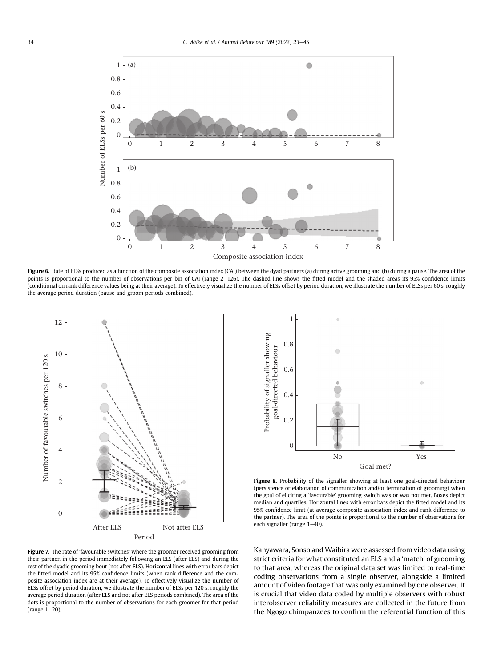<span id="page-11-0"></span>

Figure 6. Rate of ELSs produced as a function of the composite association index (CAI) between the dyad partners (a) during active grooming and (b) during a pause. The area of the points is proportional to the number of observations per bin of CAI (range 2-126). The dashed line shows the fitted model and the shaded areas its 95% confidence limits (conditional on rank difference values being at their average). To effectively visualize the number of ELSs offset by period duration, we illustrate the number of ELSs per 60 s, roughly the average period duration (pause and groom periods combined).

<span id="page-11-1"></span>

<span id="page-11-2"></span>1 Probability of signaller showing Probability of signaller showing 0.8 goal-directed behaviour goal-directed behaviour 0.6 0.4 0.2 0 No Yes Goal met?

Figure 8. Probability of the signaller showing at least one goal-directed behaviour (persistence or elaboration of communication and/or termination of grooming) when the goal of eliciting a 'favourable' grooming switch was or was not met. Boxes depict median and quartiles. Horizontal lines with error bars depict the fitted model and its 95% confidence limit (at average composite association index and rank difference to the partner). The area of the points is proportional to the number of observations for each signaller (range 1-40).

Figure 7. The rate of 'favourable switches' where the groomer received grooming from their partner, in the period immediately following an ELS (after ELS) and during the rest of the dyadic grooming bout (not after ELS). Horizontal lines with error bars depict the fitted model and its 95% confidence limits (when rank difference and the composite association index are at their average). To effectively visualize the number of ELSs offset by period duration, we illustrate the number of ELSs per 120 s, roughly the average period duration (after ELS and not after ELS periods combined). The area of the dots is proportional to the number of observations for each groomer for that period (range  $1-20$ ).

Kanyawara, Sonso and Waibira were assessed from video data using strict criteria for what constituted an ELS and a 'match' of grooming to that area, whereas the original data set was limited to real-time coding observations from a single observer, alongside a limited amount of video footage that was only examined by one observer. It is crucial that video data coded by multiple observers with robust interobserver reliability measures are collected in the future from the Ngogo chimpanzees to confirm the referential function of this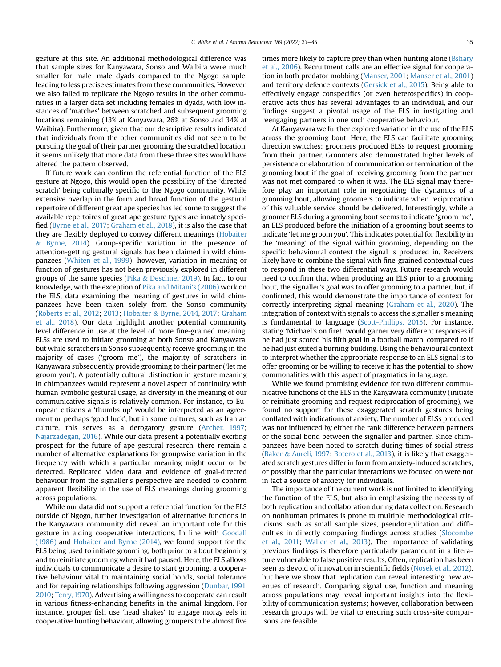gesture at this site. An additional methodological difference was that sample sizes for Kanyawara, Sonso and Waibira were much smaller for male-male dyads compared to the Ngogo sample, leading to less precise estimates from these communities. However, we also failed to replicate the Ngogo results in the other communities in a larger data set including females in dyads, with low instances of 'matches' between scratched and subsequent grooming locations remaining (13% at Kanyawara, 26% at Sonso and 34% at Waibira). Furthermore, given that our descriptive results indicated that individuals from the other communities did not seem to be pursuing the goal of their partner grooming the scratched location, it seems unlikely that more data from these three sites would have altered the pattern observed.

If future work can confirm the referential function of the ELS gesture at Ngogo, this would open the possibility of the 'directed scratch' being culturally specific to the Ngogo community. While extensive overlap in the form and broad function of the gestural repertoire of different great ape species has led some to suggest the available repertoires of great ape gesture types are innately specified [\(Byrne et al., 2017;](#page-13-29) [Graham et al., 2018\)](#page-14-50), it is also the case that they are flexibly deployed to convey different meanings ([Hobaiter](#page-14-25) & [Byrne, 2014](#page-14-25)). Group-specific variation in the presence of attention-getting gestural signals has been claimed in wild chimpanzees [\(Whiten et al., 1999\)](#page-14-51); however, variation in meaning or function of gestures has not been previously explored in different groups of the same species ([Pika](#page-14-52) & [Deschner 2019\)](#page-14-52). In fact, to our knowledge, with the exception of [Pika and Mitani's \(2006\)](#page-14-27) work on the ELS, data examining the meaning of gestures in wild chimpanzees have been taken solely from the Sonso community ([Roberts et al., 2012;](#page-14-53) [2013](#page-14-54); [Hobaiter](#page-14-25) & [Byrne, 2014,](#page-14-25) [2017](#page-14-55); [Graham](#page-14-50) [et al., 2018](#page-14-50)). Our data highlight another potential community level difference in use at the level of more fine-grained meaning. ELSs are used to initiate grooming at both Sonso and Kanyawara, but while scratchers in Sonso subsequently receive grooming in the majority of cases ('groom me'), the majority of scratchers in Kanyawara subsequently provide grooming to their partner ('let me groom you'). A potentially cultural distinction in gesture meaning in chimpanzees would represent a novel aspect of continuity with human symbolic gestural usage, as diversity in the meaning of our communicative signals is relatively common. For instance, to European citizens a 'thumbs up' would be interpreted as an agreement or perhaps 'good luck', but in some cultures, such as Iranian culture, this serves as a derogatory gesture ([Archer, 1997;](#page-13-30) [Najarzadegan, 2016](#page-14-56)). While our data present a potentially exciting prospect for the future of ape gestural research, there remain a number of alternative explanations for groupwise variation in the frequency with which a particular meaning might occur or be detected. Replicated video data and evidence of goal-directed behaviour from the signaller's perspective are needed to confirm apparent flexibility in the use of ELS meanings during grooming across populations.

While our data did not support a referential function for the ELS outside of Ngogo, further investigation of alternative functions in the Kanyawara community did reveal an important role for this gesture in aiding cooperative interactions. In line with [Goodall](#page-13-12) [\(1986\)](#page-13-12) and [Hobaiter and Byrne \(2014\)](#page-14-25), we found support for the ELS being used to initiate grooming, both prior to a bout beginning and to reinitiate grooming when it had paused. Here, the ELS allows individuals to communicate a desire to start grooming, a cooperative behaviour vital to maintaining social bonds, social tolerance and for repairing relationships following aggression ([Dunbar, 1991,](#page-13-31) [2010;](#page-13-32) [Terry, 1970](#page-14-57)). Advertising a willingness to cooperate can result in various fitness-enhancing benefits in the animal kingdom. For instance, grouper fish use 'head shakes' to engage moray eels in cooperative hunting behaviour, allowing groupers to be almost five times more likely to capture prey than when hunting alone ([Bshary](#page-13-33) [et al., 2006\)](#page-13-33). Recruitment calls are an effective signal for cooperation in both predator mobbing ([Manser, 2001;](#page-14-58) [Manser et al., 2001\)](#page-14-59) and territory defence contexts ([Gersick et al., 2015\)](#page-13-34). Being able to effectively engage conspecifics (or even heterospecifics) in cooperative acts thus has several advantages to an individual, and our findings suggest a pivotal usage of the ELS in instigating and reengaging partners in one such cooperative behaviour.

At Kanyawara we further explored variation in the use of the ELS across the grooming bout. Here, the ELS can facilitate grooming direction switches: groomers produced ELSs to request grooming from their partner. Groomers also demonstrated higher levels of persistence or elaboration of communication or termination of the grooming bout if the goal of receiving grooming from the partner was not met compared to when it was. The ELS signal may therefore play an important role in negotiating the dynamics of a grooming bout, allowing groomers to indicate when reciprocation of this valuable service should be delivered. Interestingly, while a groomer ELS during a grooming bout seems to indicate 'groom me', an ELS produced before the initiation of a grooming bout seems to indicate 'let me groom you'. This indicates potential for flexibility in the 'meaning' of the signal within grooming, depending on the specific behavioural context the signal is produced in. Receivers likely have to combine the signal with fine-grained contextual cues to respond in these two differential ways. Future research would need to confirm that when producing an ELS prior to a grooming bout, the signaller's goal was to offer grooming to a partner, but, if confirmed, this would demonstrate the importance of context for correctly interpreting signal meaning ([Graham et al., 2020](#page-13-35)). The integration of context with signals to access the signaller's meaning is fundamental to language ([Scott-Phillips, 2015](#page-14-60)). For instance, stating 'Michael's on fire!' would garner very different responses if he had just scored his fifth goal in a football match, compared to if he had just exited a burning building. Using the behavioural context to interpret whether the appropriate response to an ELS signal is to offer grooming or be willing to receive it has the potential to show commonalities with this aspect of pragmatics in language.

While we found promising evidence for two different communicative functions of the ELS in the Kanyawara community (initiate or reinitiate grooming and request reciprocation of grooming), we found no support for these exaggerated scratch gestures being conflated with indications of anxiety. The number of ELSs produced was not influenced by either the rank difference between partners or the social bond between the signaller and partner. Since chimpanzees have been noted to scratch during times of social stress ([Baker](#page-13-16) & [Aureli, 1997;](#page-13-16) [Botero et al., 2013\)](#page-13-17), it is likely that exaggerated scratch gestures differ in form from anxiety-induced scratches, or possibly that the particular interactions we focused on were not in fact a source of anxiety for individuals.

The importance of the current work is not limited to identifying the function of the ELS, but also in emphasizing the necessity of both replication and collaboration during data collection. Research on nonhuman primates is prone to multiple methodological criticisms, such as small sample sizes, pseudoreplication and difficulties in directly comparing findings across studies ([Slocombe](#page-14-61) [et al., 2011](#page-14-61); [Waller et al., 2013](#page-14-62)). The importance of validating previous findings is therefore particularly paramount in a literature vulnerable to false positive results. Often, replication has been seen as devoid of innovation in scientific fields ([Nosek et al., 2012\)](#page-14-63), but here we show that replication can reveal interesting new avenues of research. Comparing signal use, function and meaning across populations may reveal important insights into the flexibility of communication systems; however, collaboration between research groups will be vital to ensuring such cross-site comparisons are feasible.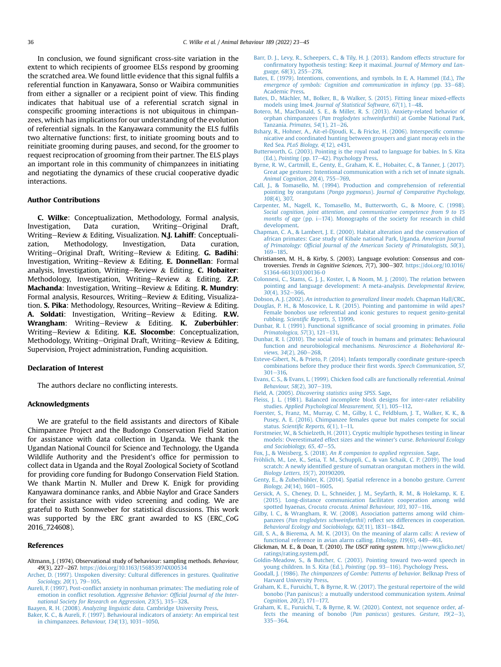In conclusion, we found significant cross-site variation in the extent to which recipients of groomee ELSs respond by grooming the scratched area. We found little evidence that this signal fulfils a referential function in Kanyawara, Sonso or Waibira communities from either a signaller or a recipient point of view. This finding indicates that habitual use of a referential scratch signal in conspecific grooming interactions is not ubiquitous in chimpanzees, which has implications for our understanding of the evolution of referential signals. In the Kanyawara community the ELS fulfils two alternative functions: first, to initiate grooming bouts and to reinitiate grooming during pauses, and second, for the groomer to request reciprocation of grooming from their partner. The ELS plays an important role in this community of chimpanzees in initiating and negotiating the dynamics of these crucial cooperative dyadic interactions.

## Author Contributions

C. Wilke: Conceptualization, Methodology, Formal analysis, Investigation, Data curation, Writing-Original Draft, Writing-Review & Editing, Visualization. N.J. Lahiff: Conceptualization, Methodology, Investigation, Data curation, Writing-Original Draft, Writing-Review & Editing. **G. Badihi**: Investigation, Writing-Review & Editing. E. Donnellan: Formal analysis, Investigation, Writing-Review  $\&$  Editing. C. Hobaiter: Methodology, Investigation, Writing-Review  $\&$  Editing. Z.P. **Machanda:** Investigation, Writing-Review & Editing. **R. Mundry:** Formal analysis, Resources, Writing-Review & Editing, Visualization. S. Pika: Methodology, Resources, Writing-Review & Editing. A. Soldati: Investigation, Writing-Review & Editing. R.W. Wrangham: Writing-Review  $\&$  Editing. K. Zuberbühler: Writing-Review & Editing. K.E. Slocombe: Conceptualization, Methodology, Writing-Original Draft, Writing-Review & Editing, Supervision, Project administration, Funding acquisition.

#### Declaration of Interest

The authors declare no conflicting interests.

#### Acknowledgments

We are grateful to the field assistants and directors of Kibale Chimpanzee Project and the Budongo Conservation Field Station for assistance with data collection in Uganda. We thank the Ugandan National Council for Science and Technology, the Uganda Wildlife Authority and the President's office for permission to collect data in Uganda and the Royal Zoological Society of Scotland for providing core funding for Budongo Conservation Field Station. We thank Martin N. Muller and Drew K. Enigk for providing Kanyawara dominance ranks, and Abbie Naylor and Grace Sanders for their assistance with video screening and coding. We are grateful to Ruth Sonnweber for statistical discussions. This work was supported by the ERC grant awarded to KS (ERC\_CoG 2016\_724608).

#### References

- <span id="page-13-19"></span>Altmann, J. (1974). Observational study of behaviour: sampling methods. Behaviour, 49(3), 227-267. <https://doi.org/10.1163/156853974X00534>
- <span id="page-13-30"></span>[Archer, D. \(1997\). Unspoken diversity: Cultural differences in gestures.](http://refhub.elsevier.com/S0003-3472(22)00101-4/sref1) Qualitative [Sociology, 20](http://refhub.elsevier.com/S0003-3472(22)00101-4/sref1)(1), 79-[105](http://refhub.elsevier.com/S0003-3472(22)00101-4/sref1).
- <span id="page-13-15"></span>Aureli, F. (1997). Post-confl[ict anxiety in nonhuman primates: The mediating role of](http://refhub.elsevier.com/S0003-3472(22)00101-4/sref2) emotion in conflict resolution. Aggressive Behavior: Offi[cial Journal of the Inter](http://refhub.elsevier.com/S0003-3472(22)00101-4/sref2)[national Society for Research on Aggression, 23](http://refhub.elsevier.com/S0003-3472(22)00101-4/sref2)(5), 315-[328.](http://refhub.elsevier.com/S0003-3472(22)00101-4/sref2)
- <span id="page-13-22"></span><span id="page-13-16"></span>Baayen, R. H. (2008). Analyzing linguistic data[. Cambridge University Press](http://refhub.elsevier.com/S0003-3472(22)00101-4/sref3).
- [Baker, K. C., & Aureli, F. \(1997\). Behavioural indicators of anxiety: An empirical test](http://refhub.elsevier.com/S0003-3472(22)00101-4/sref4) [in chimpanzees.](http://refhub.elsevier.com/S0003-3472(22)00101-4/sref4) Behaviour,  $134(13)$ ,  $1031-1050$ .
- <span id="page-13-23"></span>[Barr, D. J., Levy, R., Scheepers, C., & Tily, H. J. \(2013\). Random effects structure for](http://refhub.elsevier.com/S0003-3472(22)00101-4/sref5) confi[rmatory hypothesis testing: Keep it maximal.](http://refhub.elsevier.com/S0003-3472(22)00101-4/sref5) Journal of Memory and Language,  $68(3)$ ,  $255 - 278$ .
- <span id="page-13-1"></span>[Bates, E. \(1979\). Intentions, conventions, and symbols. In E. A. Hammel \(Ed.\),](http://refhub.elsevier.com/S0003-3472(22)00101-4/sref6) The [emergence of symbols: Cognition and communication in infancy](http://refhub.elsevier.com/S0003-3472(22)00101-4/sref6) (pp.  $33-68$ ). [Academic Press.](http://refhub.elsevier.com/S0003-3472(22)00101-4/sref6)
- <span id="page-13-27"></span>[Bates, D., M](http://refhub.elsevier.com/S0003-3472(22)00101-4/sref7)ä[chler, M., Bolker, B., & Walker, S. \(2015\). Fitting linear mixed-effects](http://refhub.elsevier.com/S0003-3472(22)00101-4/sref7) models using lme4. Journal of Statistical Software,  $67(1)$ ,  $1-48$  $1-48$ .
- <span id="page-13-17"></span>[Botero, M., MacDonald, S. E., & Miller, R. S. \(2013\). Anxiety-related behavior of](http://refhub.elsevier.com/S0003-3472(22)00101-4/sref8) orphan chimpanzees ([Pan troglodytes schweinfurthii](http://refhub.elsevier.com/S0003-3472(22)00101-4/sref8)) at Gombe National Park, Tanzania. Primates,  $54(1)$ ,  $21-26$  $21-26$ .
- <span id="page-13-33"></span>[Bshary, R., Hohner, A., Ait-el-Djoudi, K., & Fricke, H. \(2006\). Interspeci](http://refhub.elsevier.com/S0003-3472(22)00101-4/sref9)fic commu[nicative and coordinated hunting between groupers and giant moray eels in the](http://refhub.elsevier.com/S0003-3472(22)00101-4/sref9) Red Sea. [PLoS Biology, 4](http://refhub.elsevier.com/S0003-3472(22)00101-4/sref9)(12), e431.
- <span id="page-13-2"></span>[Butterworth, G. \(2003\). Pointing is the royal road to language for babies. In S. Kita](http://refhub.elsevier.com/S0003-3472(22)00101-4/sref10) (Ed.), [Pointing](http://refhub.elsevier.com/S0003-3472(22)00101-4/sref10) (pp. 17-[42\). Psychology Press.](http://refhub.elsevier.com/S0003-3472(22)00101-4/sref10)
- <span id="page-13-29"></span>[Byrne, R. W., Cartmill, E., Genty, E., Graham, K. E., Hobaiter, C., & Tanner, J. \(2017\).](http://refhub.elsevier.com/S0003-3472(22)00101-4/sref11) [Great ape gestures: Intentional communication with a rich set of innate signals.](http://refhub.elsevier.com/S0003-3472(22)00101-4/sref11) [Animal Cognition, 20](http://refhub.elsevier.com/S0003-3472(22)00101-4/sref11)(4), 755-[769](http://refhub.elsevier.com/S0003-3472(22)00101-4/sref11).
- <span id="page-13-9"></span>[Call, J., & Tomasello, M. \(1994\). Production and comprehension of referential](http://refhub.elsevier.com/S0003-3472(22)00101-4/sref12) pointing by orangutans (Pongo pygmaeus). [Journal of Comparative Psychology,](http://refhub.elsevier.com/S0003-3472(22)00101-4/sref12) 108[\(4\), 307.](http://refhub.elsevier.com/S0003-3472(22)00101-4/sref12)
- <span id="page-13-3"></span>[Carpenter, M., Nagell, K., Tomasello, M., Butterworth, G., & Moore, C. \(1998\).](http://refhub.elsevier.com/S0003-3472(22)00101-4/sref13) [Social cognition, joint attention, and communicative competence from 9 to 15](http://refhub.elsevier.com/S0003-3472(22)00101-4/sref13) [months of age](http://refhub.elsevier.com/S0003-3472(22)00101-4/sref13) (pp. i-[174\). Monographs of the society for research in child](http://refhub.elsevier.com/S0003-3472(22)00101-4/sref13) [development.](http://refhub.elsevier.com/S0003-3472(22)00101-4/sref13)
- <span id="page-13-18"></span>[Chapman, C. A., & Lambert, J. E. \(2000\). Habitat alteration and the conservation of](http://refhub.elsevier.com/S0003-3472(22)00101-4/sref14) [african primates: Case study of Kibale national Park, Uganda.](http://refhub.elsevier.com/S0003-3472(22)00101-4/sref14) American Journal of Primatology: Offi[cial Journal of the American Society of Primatologists, 50](http://refhub.elsevier.com/S0003-3472(22)00101-4/sref14)(3), [169](http://refhub.elsevier.com/S0003-3472(22)00101-4/sref14)-[185](http://refhub.elsevier.com/S0003-3472(22)00101-4/sref14)
- <span id="page-13-0"></span>Christiansen, M. H., & Kirby, S. (2003). Language evolution: Consensus and controversies. Trends in Cognitive Sciences, 7(7), 300-307. [https://doi.org/10.1016/](https://doi.org/10.1016/S1364-6613(03)00136-0) [S1364-6613\(03\)00136-0](https://doi.org/10.1016/S1364-6613(03)00136-0)
- <span id="page-13-4"></span>[Colonnesi, C., Stams, G. J. J., Koster, I., & Noom, M. J. \(2010\). The relation between](http://refhub.elsevier.com/S0003-3472(22)00101-4/sref16) [pointing and language development: A meta-analysis.](http://refhub.elsevier.com/S0003-3472(22)00101-4/sref16) Developmental Review, 30[\(4\), 352](http://refhub.elsevier.com/S0003-3472(22)00101-4/sref16)-[366](http://refhub.elsevier.com/S0003-3472(22)00101-4/sref16).
- <span id="page-13-26"></span>Dobson, A. J. (2002). [An introduction to generalized linear models](http://refhub.elsevier.com/S0003-3472(22)00101-4/sref17). Chapman Hall/CRC.
- <span id="page-13-10"></span>[Douglas, P. H., & Moscovice, L. R. \(2015\). Pointing and pantomime in wild apes?](http://refhub.elsevier.com/S0003-3472(22)00101-4/sref18) [Female bonobos use referential and iconic gestures to request genito-genital](http://refhub.elsevier.com/S0003-3472(22)00101-4/sref18) rubbing. Scientifi[c Reports, 5](http://refhub.elsevier.com/S0003-3472(22)00101-4/sref18), 13999.
- <span id="page-13-31"></span>Dunbar, R. I. (1991). Functional signifi[cance of social grooming in primates.](http://refhub.elsevier.com/S0003-3472(22)00101-4/sref19) Folia [Primatologica, 57](http://refhub.elsevier.com/S0003-3472(22)00101-4/sref19)(3), 121-[131.](http://refhub.elsevier.com/S0003-3472(22)00101-4/sref19)
- <span id="page-13-32"></span>[Dunbar, R. I. \(2010\). The social role of touch in humans and primates: Behavioural](http://refhub.elsevier.com/S0003-3472(22)00101-4/sref20) [function and neurobiological mechanisms.](http://refhub.elsevier.com/S0003-3472(22)00101-4/sref20) Neuroscience & [Biobehavioral Re](http://refhub.elsevier.com/S0003-3472(22)00101-4/sref20)[views, 34](http://refhub.elsevier.com/S0003-3472(22)00101-4/sref20)(2), 260-[268](http://refhub.elsevier.com/S0003-3472(22)00101-4/sref20).
- <span id="page-13-5"></span>[Esteve-Gibert, N., & Prieto, P. \(2014\). Infants temporally coordinate gesture-speech](http://refhub.elsevier.com/S0003-3472(22)00101-4/sref21) [combinations before they produce their](http://refhub.elsevier.com/S0003-3472(22)00101-4/sref21) first words. Speech Communication, 57,  $301 - 316$  $301 - 316$  $301 - 316$ .
- <span id="page-13-7"></span>[Evans, C. S., & Evans, L. \(1999\). Chicken food calls are functionally referential.](http://refhub.elsevier.com/S0003-3472(22)00101-4/sref22) Animal [Behaviour, 58](http://refhub.elsevier.com/S0003-3472(22)00101-4/sref22)(2), 307-[319.](http://refhub.elsevier.com/S0003-3472(22)00101-4/sref22)
- <span id="page-13-24"></span>Field, A. (2005). [Discovering statistics using SPSS](http://refhub.elsevier.com/S0003-3472(22)00101-4/sref23). Sage.
- <span id="page-13-20"></span>[Fleiss, J. L. \(1981\). Balanced incomplete block designs for inter-rater reliability](http://refhub.elsevier.com/S0003-3472(22)00101-4/sref24) studies. [Applied Psychological Measurement, 5](http://refhub.elsevier.com/S0003-3472(22)00101-4/sref24)(1), 105-[112.](http://refhub.elsevier.com/S0003-3472(22)00101-4/sref24)
- <span id="page-13-37"></span>[Foerster, S., Franz, M., Murray, C. M., Gilby, I. C., Feldblum, J. T., Walker, K. K., &](http://refhub.elsevier.com/S0003-3472(22)00101-4/sref25) [Pusey, A. E. \(2016\). Chimpanzee females queue but males compete for social](http://refhub.elsevier.com/S0003-3472(22)00101-4/sref25) status. Scientific Reports,  $6(1)$ , 1-[11.](http://refhub.elsevier.com/S0003-3472(22)00101-4/sref25)
- <span id="page-13-25"></span>[Forstmeier, W., & Schielzeth, H. \(2011\). Cryptic multiple hypotheses testing in linear](http://refhub.elsevier.com/S0003-3472(22)00101-4/sref26) [models: Overestimated effect sizes and the winner's curse.](http://refhub.elsevier.com/S0003-3472(22)00101-4/sref26) Behavioural Ecology and Sociobiology,  $65, 47-55.$  $65, 47-55.$  $65, 47-55.$
- <span id="page-13-28"></span>Fox, J., & Weisberg, S. (2018). [An R companion to applied regression](http://refhub.elsevier.com/S0003-3472(22)00101-4/sref27). Sage
- <span id="page-13-13"></span>Fröhlich, M., Lee, K., Setia, T. M., Schuppli, C., & van Schaik, C. P. (2019). The loud scratch: A newly identifi[ed gesture of sumatran orangutan mothers in the wild.](http://refhub.elsevier.com/S0003-3472(22)00101-4/sref28) [Biology Letters, 15](http://refhub.elsevier.com/S0003-3472(22)00101-4/sref28)(7), 20190209.
- <span id="page-13-11"></span>[Genty, E., & Zuberbühler, K. \(2014\). Spatial reference in a bonobo gesture.](http://refhub.elsevier.com/S0003-3472(22)00101-4/sref29) Current [Biology, 24](http://refhub.elsevier.com/S0003-3472(22)00101-4/sref29)(14), 1601-[1605](http://refhub.elsevier.com/S0003-3472(22)00101-4/sref29).
- <span id="page-13-34"></span>[Gersick, A. S., Cheney, D. L., Schneider, J. M., Seyfarth, R. M., & Holekamp, K. E.](http://refhub.elsevier.com/S0003-3472(22)00101-4/sref30) [\(2015\). Long-distance communication facilitates cooperation among wild](http://refhub.elsevier.com/S0003-3472(22)00101-4/sref30) spotted hyaenas, Crocuta crocuta. [Animal Behaviour, 103](http://refhub.elsevier.com/S0003-3472(22)00101-4/sref30), 107-[116.](http://refhub.elsevier.com/S0003-3472(22)00101-4/sref30)
- <span id="page-13-21"></span>[Gilby, I. C., & Wrangham, R. W. \(2008\). Association patterns among wild chim](http://refhub.elsevier.com/S0003-3472(22)00101-4/sref31)panzees (Pan troglodytes schweinfurthii) refl[ect sex differences in cooperation.](http://refhub.elsevier.com/S0003-3472(22)00101-4/sref31) [Behavioral Ecology and Sociobiology, 62](http://refhub.elsevier.com/S0003-3472(22)00101-4/sref31)(11), 1831-[1842](http://refhub.elsevier.com/S0003-3472(22)00101-4/sref31).
- <span id="page-13-8"></span>[Gill, S. A., & Bierema, A. M. K. \(2013\). On the meaning of alarm calls: A review of](http://refhub.elsevier.com/S0003-3472(22)00101-4/sref32) [functional reference in avian alarm calling.](http://refhub.elsevier.com/S0003-3472(22)00101-4/sref32) Ethology, 119(6), 449-[461.](http://refhub.elsevier.com/S0003-3472(22)00101-4/sref32)
- <span id="page-13-36"></span>Glickman, M. E., & Doan, T. (2010). The USCF rating system. [http://www.glicko.net/](http://www.glicko.net/ratings/rating.system.pdf) [ratings/rating.system.pdf](http://www.glicko.net/ratings/rating.system.pdf).
- <span id="page-13-6"></span>[Goldin-Meadow, S., & Butcher, C. \(2003\). Pointing toward two-word speech in](http://refhub.elsevier.com/S0003-3472(22)00101-4/sref34) [young children. In S. Kita \(Ed.\),](http://refhub.elsevier.com/S0003-3472(22)00101-4/sref34) Pointing (pp. 93-[116\). Psychology Press](http://refhub.elsevier.com/S0003-3472(22)00101-4/sref34).
- <span id="page-13-12"></span>Goodall, J. (1986). [The chimpanzees of Gombe: Patterns of behavior](http://refhub.elsevier.com/S0003-3472(22)00101-4/sref35). Belknap Press of [Harvard University Press](http://refhub.elsevier.com/S0003-3472(22)00101-4/sref35).
- <span id="page-13-14"></span>[Graham, K. E., Furuichi, T., & Byrne, R. W. \(2017\). The gestural repertoire of the wild](http://refhub.elsevier.com/S0003-3472(22)00101-4/sref101) [bonobo \(Pan paniscus\): a mutually understood communication system.](http://refhub.elsevier.com/S0003-3472(22)00101-4/sref101) Animal [Cognition, 20](http://refhub.elsevier.com/S0003-3472(22)00101-4/sref101)(2), 171-[177.](http://refhub.elsevier.com/S0003-3472(22)00101-4/sref101)
- <span id="page-13-35"></span>[Graham, K. E., Furuichi, T., & Byrne, R. W. \(2020\). Context, not sequence order, af](http://refhub.elsevier.com/S0003-3472(22)00101-4/sref36)[fects the meaning of bonobo \(](http://refhub.elsevier.com/S0003-3472(22)00101-4/sref36)Pan paniscus) gestures. Gesture,  $19(2-3)$ , [335](http://refhub.elsevier.com/S0003-3472(22)00101-4/sref36)-[364](http://refhub.elsevier.com/S0003-3472(22)00101-4/sref36).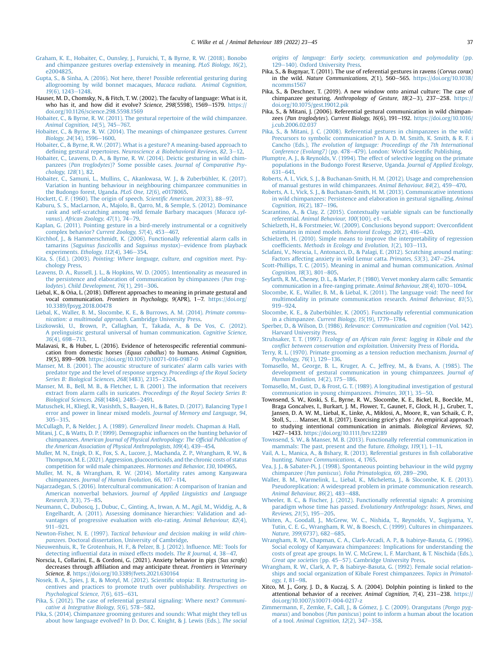- <span id="page-14-50"></span>[Graham, K. E., Hobaiter, C., Ounsley, J., Furuichi, T., & Byrne, R. W. \(2018\). Bonobo](http://refhub.elsevier.com/S0003-3472(22)00101-4/sref37) [and chimpanzee gestures overlap extensively in meaning.](http://refhub.elsevier.com/S0003-3472(22)00101-4/sref37) PLoS Biology, 16(2), [e2004825.](http://refhub.elsevier.com/S0003-3472(22)00101-4/sref37)
- <span id="page-14-28"></span>[Gupta, S., & Sinha, A. \(2016\). Not here, there! Possible referential gesturing during](http://refhub.elsevier.com/S0003-3472(22)00101-4/sref38) [allogrooming by wild bonnet macaques,](http://refhub.elsevier.com/S0003-3472(22)00101-4/sref38) Macaca radiata. Animal Cognition,  $19(6)$ ,  $1243-1248$
- <span id="page-14-0"></span>Hauser, M. D., Chomsky, N., & Fitch, T. W. (2002). The faculty of language: What is it, who has it, and how did it evolve? Science,  $298(5598)$ ,  $1569-1579$ . [https://](https://doi.org/10.1126/science.298.5598.1569) [doi.org/10.1126/science.298.5598.1569](https://doi.org/10.1126/science.298.5598.1569)
- <span id="page-14-26"></span>[Hobaiter, C., & Byrne, R. W. \(2011\). The gestural repertoire of the wild chimpanzee.](http://refhub.elsevier.com/S0003-3472(22)00101-4/sref40) [Animal Cognition, 14](http://refhub.elsevier.com/S0003-3472(22)00101-4/sref40)(5), 745-[767.](http://refhub.elsevier.com/S0003-3472(22)00101-4/sref40)
- <span id="page-14-25"></span>[Hobaiter, C., & Byrne, R. W. \(2014\). The meanings of chimpanzee gestures.](http://refhub.elsevier.com/S0003-3472(22)00101-4/sref42) Current [Biology, 24](http://refhub.elsevier.com/S0003-3472(22)00101-4/sref42)(14), 1596-[1600](http://refhub.elsevier.com/S0003-3472(22)00101-4/sref42).
- <span id="page-14-55"></span>[Hobaiter, C., & Byrne, R. W. \(2017\). What is a gesture? A meaning-based approach to](http://refhub.elsevier.com/S0003-3472(22)00101-4/sref43) defi[ning gestural repertoires.](http://refhub.elsevier.com/S0003-3472(22)00101-4/sref43) Neuroscience & Biobehavioral Reviews,  $82, 3-12$ .
- <span id="page-14-21"></span>[Hobaiter, C., Leavens, D. A., & Byrne, R. W. \(2014\). Deictic gesturing in wild chim](http://refhub.elsevier.com/S0003-3472(22)00101-4/sref44)panzees (Pan troglodytes)? Some possible cases. [Journal of Comparative Psy](http://refhub.elsevier.com/S0003-3472(22)00101-4/sref44)[chology, 128](http://refhub.elsevier.com/S0003-3472(22)00101-4/sref44)(1), 82.
- <span id="page-14-41"></span>[Hobaiter, C., Samuni, L., Mullins, C., Akankwasa, W. J., & Zuberbühler, K. \(2017\).](http://refhub.elsevier.com/S0003-3472(22)00101-4/sref45) [Variation in hunting behaviour in neighbouring chimpanzee communities in](http://refhub.elsevier.com/S0003-3472(22)00101-4/sref45) [the Budongo forest, Uganda.](http://refhub.elsevier.com/S0003-3472(22)00101-4/sref45) PLoS One, 12(6), e0178065.
- <span id="page-14-1"></span>[Hockett, C. F. \(1960\). The origin of speech.](http://refhub.elsevier.com/S0003-3472(22)00101-4/sref46) Scientific American, 203(3), 88-[97.](http://refhub.elsevier.com/S0003-3472(22)00101-4/sref46)
- <span id="page-14-31"></span>[Kaburu, S. S., MacLarnon, A., Majolo, B., Qarro, M., & Semple, S. \(2012\). Dominance](http://refhub.elsevier.com/S0003-3472(22)00101-4/sref47) [rank and self-scratching among wild female Barbary macaques \(](http://refhub.elsevier.com/S0003-3472(22)00101-4/sref47)Macaca syl-vanus). [African Zoology, 47](http://refhub.elsevier.com/S0003-3472(22)00101-4/sref47)(1), 74-[79](http://refhub.elsevier.com/S0003-3472(22)00101-4/sref47).
- <span id="page-14-23"></span>[Kaplan, G. \(2011\). Pointing gesture in a bird-merely instrumental or a cognitively](http://refhub.elsevier.com/S0003-3472(22)00101-4/sref48) [complex behavior?](http://refhub.elsevier.com/S0003-3472(22)00101-4/sref48) Current Zoology, 57(4), 453-[467.](http://refhub.elsevier.com/S0003-3472(22)00101-4/sref48)
- <span id="page-14-8"></span>[Kirchhof, J., & Hammerschmidt, K. \(2006\). Functionally referential alarm calls in](http://refhub.elsevier.com/S0003-3472(22)00101-4/sref49) tamarins ([Saguinus fuscicollis](http://refhub.elsevier.com/S0003-3472(22)00101-4/sref49) and Saguinus mystax)-[evidence from playback](http://refhub.elsevier.com/S0003-3472(22)00101-4/sref49) [experiments.](http://refhub.elsevier.com/S0003-3472(22)00101-4/sref49) Ethology, 112(4), 346-[354](http://refhub.elsevier.com/S0003-3472(22)00101-4/sref49).
- <span id="page-14-4"></span>Kita, S. (Ed.). (2003). [Pointing: Where language, culture, and cognition meet](http://refhub.elsevier.com/S0003-3472(22)00101-4/sref50). Psy[chology Press.](http://refhub.elsevier.com/S0003-3472(22)00101-4/sref50)
- <span id="page-14-16"></span>[Leavens, D. A., Russell, J. L., & Hopkins, W. D. \(2005\). Intentionality as measured in](http://refhub.elsevier.com/S0003-3472(22)00101-4/sref51) [the persistence and elaboration of communication by chimpanzees \(](http://refhub.elsevier.com/S0003-3472(22)00101-4/sref51)Pan trog-lodytes). [Child Development, 76](http://refhub.elsevier.com/S0003-3472(22)00101-4/sref51)(1), 291-[306.](http://refhub.elsevier.com/S0003-3472(22)00101-4/sref51)
- <span id="page-14-3"></span>Liebal, K., & Oña, L. (2018). Different approaches to meaning in primate gestural and vocal communication. Frontiers in Psychology, 9(APR), 1-7. [https://doi.org/](https://doi.org/10.3389/fpsyg.2018.00478) [10.3389/fpsyg.2018.00478](https://doi.org/10.3389/fpsyg.2018.00478)
- <span id="page-14-13"></span>[Liebal, K., Waller, B. M., Slocombe, K. E., & Burrows, A. M. \(2014\).](http://refhub.elsevier.com/S0003-3472(22)00101-4/sref53) Primate commu[nication: a multimodal approach](http://refhub.elsevier.com/S0003-3472(22)00101-4/sref53). Cambridge University Press.
- <span id="page-14-5"></span>[Liszkowski, U., Brown, P., Callaghan, T., Takada, A., & De Vos, C. \(2012\).](http://refhub.elsevier.com/S0003-3472(22)00101-4/sref54) [A prelinguistic gestural universal of human communication.](http://refhub.elsevier.com/S0003-3472(22)00101-4/sref54) Cognitive Science, 36[\(4\), 698](http://refhub.elsevier.com/S0003-3472(22)00101-4/sref54)-[713](http://refhub.elsevier.com/S0003-3472(22)00101-4/sref54).
- <span id="page-14-14"></span>Malavasi, R., & Huber, L. (2016). Evidence of heterospecific referential communication from domestic horses (Equus caballus) to humans. Animal Cognition, 19(5), 899-909. <https://doi.org/10.1007/s10071-016-0987-0>
- <span id="page-14-58"></span>[Manser, M. B. \(2001\). The acoustic structure of suricates' alarm calls varies with](http://refhub.elsevier.com/S0003-3472(22)00101-4/sref56) [predator type and the level of response urgency.](http://refhub.elsevier.com/S0003-3472(22)00101-4/sref56) Proceedings of the Royal Society [Series B: Biological Sciences, 268](http://refhub.elsevier.com/S0003-3472(22)00101-4/sref56)(1483), 2315-[2324](http://refhub.elsevier.com/S0003-3472(22)00101-4/sref56).
- <span id="page-14-59"></span>[Manser, M. B., Bell, M. B., & Fletcher, L. B. \(2001\). The information that receivers](http://refhub.elsevier.com/S0003-3472(22)00101-4/sref57) extract from alarm calls in suricates. [Proceedings of the Royal Society Series B:](http://refhub.elsevier.com/S0003-3472(22)00101-4/sref57) [Biological Sciences, 268](http://refhub.elsevier.com/S0003-3472(22)00101-4/sref57)(1484), 2485-[2491.](http://refhub.elsevier.com/S0003-3472(22)00101-4/sref57)
- <span id="page-14-48"></span>[Matuschek, H., Kliegl, R., Vasishth, S., Baayen, H., & Bates, D. \(2017\). Balancing Type I](http://refhub.elsevier.com/S0003-3472(22)00101-4/sref58) [error and power in linear mixed models.](http://refhub.elsevier.com/S0003-3472(22)00101-4/sref58) Journal of Memory and Language, 94,  $305 - 315.$  $305 - 315.$  $305 - 315.$
- <span id="page-14-45"></span>[McCullagh, P., & Nelder, J. A. \(1989\).](http://refhub.elsevier.com/S0003-3472(22)00101-4/sref59) Generalized linear models. Chapman & [Hall](http://refhub.elsevier.com/S0003-3472(22)00101-4/sref59).
- <span id="page-14-39"></span>[Mitani, J. C., & Watts, D. P. \(1999\). Demographic in](http://refhub.elsevier.com/S0003-3472(22)00101-4/sref60)fluences on the hunting behavior of chimpanzees. [American Journal of Physical Anthropology: The Of](http://refhub.elsevier.com/S0003-3472(22)00101-4/sref60)ficial Publication of [the American Association of Physical Anthropologists, 109](http://refhub.elsevier.com/S0003-3472(22)00101-4/sref60)(4), 439-[454](http://refhub.elsevier.com/S0003-3472(22)00101-4/sref60).
- <span id="page-14-44"></span>[Muller, M. N., Enigk, D. K., Fox, S. A., Lucore, J., Machanda, Z. P., Wrangham, R. W., &](http://refhub.elsevier.com/S0003-3472(22)00101-4/sref61) [Thompson, M. E. \(2021\). Aggression, glucocorticoids, and the chronic costs of status](http://refhub.elsevier.com/S0003-3472(22)00101-4/sref61) [competition for wild male chimpanzees.](http://refhub.elsevier.com/S0003-3472(22)00101-4/sref61) Hormones and Behavior, 130, 104965.

<span id="page-14-38"></span>[Muller, M. N., & Wrangham, R. W. \(2014\). Mortality rates among Kanyawara](http://refhub.elsevier.com/S0003-3472(22)00101-4/sref62) chimpanzees. Journal of Human Evolution,  $66$ ,  $107-114$ .

- <span id="page-14-56"></span>[Najarzadegan, S. \(2016\). Intercultural communication: A comparison of Iranian and](http://refhub.elsevier.com/S0003-3472(22)00101-4/sref63) American nonverbal behaviors. [Journal of Applied Linguistics and Language](http://refhub.elsevier.com/S0003-3472(22)00101-4/sref63)  $Research, 3(3), 75-85.$  $Research, 3(3), 75-85.$  $Research, 3(3), 75-85.$
- <span id="page-14-43"></span>[Neumann, C., Duboscq, J., Dubuc, C., Ginting, A., Irwan, A. M., Agil, M., Widdig, A., &](http://refhub.elsevier.com/S0003-3472(22)00101-4/sref64) [Engelhardt, A. \(2011\). Assessing dominance hierarchies: Validation and ad](http://refhub.elsevier.com/S0003-3472(22)00101-4/sref64)[vantages of progressive evaluation with elo-rating.](http://refhub.elsevier.com/S0003-3472(22)00101-4/sref64) Animal Behaviour, 82(4),  $911 - 921.$  $911 - 921.$  $911 - 921.$
- <span id="page-14-40"></span>Newton-Fisher, N. E. (1997). [Tactical behaviour and decision making in wild chim](http://refhub.elsevier.com/S0003-3472(22)00101-4/sref65)panzees[. Doctoral dissertation, University of Cambridge](http://refhub.elsevier.com/S0003-3472(22)00101-4/sref65).
- <span id="page-14-49"></span>[Nieuwenhuis, R., Te Grotenhuis, H. F., & Pelzer, B. J. \(2012\). In](http://refhub.elsevier.com/S0003-3472(22)00101-4/sref66)fluence. ME: Tools for detecting infl[uential data in mixed effects models.](http://refhub.elsevier.com/S0003-3472(22)00101-4/sref66) The R Journal, 4, 38-[47.](http://refhub.elsevier.com/S0003-3472(22)00101-4/sref66)
- <span id="page-14-29"></span>Norscia, I., Collarini, E., & Cordoni, G. (2021). Anxiety behavior in pigs (Sus scrofa) decreases through affiliation and may anticipate threat. Frontiers in Veterinary Science, 8. <https://doi.org/10.3389/fvets.2021.630164>
- <span id="page-14-63"></span>[Nosek, B. A., Spies, J. R., & Motyl, M. \(2012\). Scienti](http://refhub.elsevier.com/S0003-3472(22)00101-4/sref68)fic utopia: II. Restructuring in[centives and practices to promote truth over publishability.](http://refhub.elsevier.com/S0003-3472(22)00101-4/sref68) Perspectives on [Psychological Science, 7](http://refhub.elsevier.com/S0003-3472(22)00101-4/sref68)(6), 615-[631.](http://refhub.elsevier.com/S0003-3472(22)00101-4/sref68)
- <span id="page-14-6"></span>[Pika, S. \(2012\). The case of referential gestural signaling: Where next?](http://refhub.elsevier.com/S0003-3472(22)00101-4/sref69) Communi[cative](http://refhub.elsevier.com/S0003-3472(22)00101-4/sref69) & Integrative Biology,  $5(6)$ ,  $578-582$ .
- <span id="page-14-33"></span>[Pika, S. \(2014\). Chimpanzee grooming gestures and sounds: What might they tell us](http://refhub.elsevier.com/S0003-3472(22)00101-4/sref70) [about how language evolved? In D. Dor, C. Knight, & J. Lewis \(Eds.\),](http://refhub.elsevier.com/S0003-3472(22)00101-4/sref70) The social

[origins of language: Early society, communication and polymodality](http://refhub.elsevier.com/S0003-3472(22)00101-4/sref70) (pp. [129](http://refhub.elsevier.com/S0003-3472(22)00101-4/sref70)-[140\). Oxford University Press](http://refhub.elsevier.com/S0003-3472(22)00101-4/sref70).

- <span id="page-14-22"></span>Pika, S., & Bugnyar, T. (2011). The use of referential gestures in ravens (Corvus corax) in the wild. Nature Communications,  $2(1)$ ,  $560-565$ . https://doi.org/10.1038 [ncomms1567](https://doi.org/10.1038/ncomms1567)
- <span id="page-14-52"></span>Pika, S., & Deschner, T. (2019). A new window onto animal culture: The case of chimpanzee gesturing. Anthropology of Gesture,  $18(2-3)$ ,  $237-258$ . [https://](https://doi.org/10.1075/gest.19012.pik) [doi.org/10.1075/gest.19012.pik](https://doi.org/10.1075/gest.19012.pik)
- <span id="page-14-27"></span>Pika, S., & Mitani, J. (2006). Referential gestural communication in wild chimpanzees (Pan troglodytes). Current Biology, 16(6), 191-192. [https://doi.org/10.1016/](https://doi.org/10.1016/j.cub.2006.02.037) [j.cub.2006.02.037](https://doi.org/10.1016/j.cub.2006.02.037)
- <span id="page-14-42"></span>[Pika, S., & Mitani, J. C. \(2008\). Referential gestures in chimpanzees in the wild:](http://refhub.elsevier.com/S0003-3472(22)00101-4/sref74) [Precursors to symbolic communication? In A. D. M. Smith, K. Smith, & R. F. i](http://refhub.elsevier.com/S0003-3472(22)00101-4/sref74) Cancho (Eds.), [The evolution of language: Proceedings of the 7th International](http://refhub.elsevier.com/S0003-3472(22)00101-4/sref74) [Conference \(Evolang7\)](http://refhub.elsevier.com/S0003-3472(22)00101-4/sref74) (pp. 478–[479\). London: World Scienti](http://refhub.elsevier.com/S0003-3472(22)00101-4/sref74)fic Publishing.
- <span id="page-14-36"></span>[Plumptre, A. J., & Reynolds, V. \(1994\). The effect of selective logging on the primate](http://refhub.elsevier.com/S0003-3472(22)00101-4/sref75) [populations in the Budongo Forest Reserve, Uganda.](http://refhub.elsevier.com/S0003-3472(22)00101-4/sref75) Journal of Applied Ecology,  $631 - 641$  $631 - 641$ .
- <span id="page-14-53"></span>[Roberts, A. I., Vick, S. J., & Buchanan-Smith, H. M. \(2012\). Usage and comprehension](http://refhub.elsevier.com/S0003-3472(22)00101-4/sref76) [of manual gestures in wild chimpanzees.](http://refhub.elsevier.com/S0003-3472(22)00101-4/sref76) Animal Behaviour,  $84(2)$ ,  $459-470$  $459-470$ .
- <span id="page-14-54"></span>[Roberts, A. I., Vick, S. J., & Buchanan-Smith, H. M. \(2013\). Communicative intentions](http://refhub.elsevier.com/S0003-3472(22)00101-4/sref77) [in wild chimpanzees: Persistence and elaboration in gestural signalling.](http://refhub.elsevier.com/S0003-3472(22)00101-4/sref77) Animal Cognition,  $16(2)$ ,  $187-196$ .
- <span id="page-14-12"></span>[Scarantino, A., & Clay, Z. \(2015\). Contextually variable signals can be functionally](http://refhub.elsevier.com/S0003-3472(22)00101-4/sref78) referential. [Animal Behaviour, 100](http://refhub.elsevier.com/S0003-3472(22)00101-4/sref78)(100), e1-[e8.](http://refhub.elsevier.com/S0003-3472(22)00101-4/sref78)
- <span id="page-14-47"></span>[Schielzeth, H., & Forstmeier, W. \(2009\). Conclusions beyond support: Overcon](http://refhub.elsevier.com/S0003-3472(22)00101-4/sref79)fident [estimates in mixed models.](http://refhub.elsevier.com/S0003-3472(22)00101-4/sref79) Behavioral Ecology, 20(2), 416-[420.](http://refhub.elsevier.com/S0003-3472(22)00101-4/sref79)
- <span id="page-14-46"></span>[Schielzeth, H. \(2010\). Simple means to improve the interpretability of regression](http://refhub.elsevier.com/S0003-3472(22)00101-4/sref103) coefficients. [Methods in Ecology and Evolution, 1](http://refhub.elsevier.com/S0003-3472(22)00101-4/sref103)(2), 103-[113](http://refhub.elsevier.com/S0003-3472(22)00101-4/sref103).
- <span id="page-14-30"></span>[Sclafani, V., Norscia, I., Antonacci, D., & Palagi, E. \(2012\). Scratching around mating:](http://refhub.elsevier.com/S0003-3472(22)00101-4/sref80) [Factors affecting anxiety in wild Lemur catta.](http://refhub.elsevier.com/S0003-3472(22)00101-4/sref80) Primates, 53(3), 247-[254](http://refhub.elsevier.com/S0003-3472(22)00101-4/sref80).
- <span id="page-14-60"></span>[Scott-Phillips, T. C. \(2015\). Meaning in animal and human communication.](http://refhub.elsevier.com/S0003-3472(22)00101-4/sref81) Animal [Cognition, 18](http://refhub.elsevier.com/S0003-3472(22)00101-4/sref81)(3), 801-[805.](http://refhub.elsevier.com/S0003-3472(22)00101-4/sref81)
- <span id="page-14-9"></span>[Seyfarth, R. M., Cheney, D. L., & Marler, P. \(1980\). Vervet monkey alarm calls: Semantic](http://refhub.elsevier.com/S0003-3472(22)00101-4/sref82) [communication in a free-ranging primate.](http://refhub.elsevier.com/S0003-3472(22)00101-4/sref82) Animal Behaviour, 28(4), 1070-[1094](http://refhub.elsevier.com/S0003-3472(22)00101-4/sref82).
- <span id="page-14-61"></span>[Slocombe, K. E., Waller, B. M., & Liebal, K. \(2011\). The language void: The need for](http://refhub.elsevier.com/S0003-3472(22)00101-4/sref83) [multimodality in primate communication research.](http://refhub.elsevier.com/S0003-3472(22)00101-4/sref83) Animal Behaviour, 81(5), [919](http://refhub.elsevier.com/S0003-3472(22)00101-4/sref83)-924
- <span id="page-14-10"></span>[Slocombe, K. E., & Zuberbühler, K. \(2005\). Functionally referential communication](http://refhub.elsevier.com/S0003-3472(22)00101-4/sref84) in a chimpanzee. [Current Biology, 15](http://refhub.elsevier.com/S0003-3472(22)00101-4/sref84)(19), 1779-[1784.](http://refhub.elsevier.com/S0003-3472(22)00101-4/sref84)
- <span id="page-14-7"></span>Sperber, D., & Wilson, D. (1986). [Relevance: Communication and cognition](http://refhub.elsevier.com/S0003-3472(22)00101-4/sref85) (Vol. 142). [Harvard University Press.](http://refhub.elsevier.com/S0003-3472(22)00101-4/sref85)
- <span id="page-14-35"></span>Struhsaker, T. T. (1997). [Ecology of an African rain forest: logging in Kibale and the](http://refhub.elsevier.com/S0003-3472(22)00101-4/sref86) confl[ict between conservation and exploitation](http://refhub.elsevier.com/S0003-3472(22)00101-4/sref86). University Press of Florida.
- <span id="page-14-57"></span>[Terry, R. L. \(1970\). Primate grooming as a tension reduction mechanism.](http://refhub.elsevier.com/S0003-3472(22)00101-4/sref87) Journal of [Psychology, 76](http://refhub.elsevier.com/S0003-3472(22)00101-4/sref87)(1), 129-[136.](http://refhub.elsevier.com/S0003-3472(22)00101-4/sref87)
- <span id="page-14-17"></span>[Tomasello, M., George, B. L., Kruger, A. C., Jeffrey, M., & Evans, A. \(1985\). The](http://refhub.elsevier.com/S0003-3472(22)00101-4/sref88) [development of gestural communication in young chimpanzees.](http://refhub.elsevier.com/S0003-3472(22)00101-4/sref88) Journal of [Human Evolution, 14](http://refhub.elsevier.com/S0003-3472(22)00101-4/sref88)(2), 175-[186.](http://refhub.elsevier.com/S0003-3472(22)00101-4/sref88)
- <span id="page-14-18"></span>[Tomasello, M., Gust, D., & Frost, G. T. \(1989\). A longitudinal investigation of gestural](http://refhub.elsevier.com/S0003-3472(22)00101-4/sref89) [communication in young chimpanzees.](http://refhub.elsevier.com/S0003-3472(22)00101-4/sref89) Primates,  $30(1)$ ,  $35-50$ .
- <span id="page-14-32"></span>Townsend, S. W., Koski, S. E., Byrne, R. W., Slocombe, K. E., Bickel, B., Boeckle, M., Braga Goncalves, I., Burkart, J. M., Flower, T., Gaunet, F., Glock, H. J., Gruber, T., Jansen, D. A. W. M., Liebal, K., Linke, A., Miklosi, A., Moore, R., van Schaik, C. P., Stoll, S., … Manser, M. B. (2017). Exorcising grice's ghos : An empirical approach to studying intentional communication in animals. Biological Reviews, 92, 1427-1433. <https://doi.org/10.1111/brv.12289>
- <span id="page-14-2"></span>[Townsend, S. W., & Manser, M. B. \(2013\). Functionally referential communication in](http://refhub.elsevier.com/S0003-3472(22)00101-4/sref91) [mammals: The past, present and the future.](http://refhub.elsevier.com/S0003-3472(22)00101-4/sref91) Ethology,  $119(1)$ ,  $1-11$ .
- <span id="page-14-24"></span>[Vail, A. L., Manica, A., & Bshary, R. \(2013\). Referential gestures in](http://refhub.elsevier.com/S0003-3472(22)00101-4/sref92) fish collaborative hunting. [Nature Communications, 4](http://refhub.elsevier.com/S0003-3472(22)00101-4/sref92), 1765.
- <span id="page-14-20"></span>[Vea, J. J., & Sabater-Pi, J. \(1998\). Spontaneous pointing behaviour in the wild pygmy](http://refhub.elsevier.com/S0003-3472(22)00101-4/sref93) chimpanzee (Pan paniscus). [Folia Primatologica, 69](http://refhub.elsevier.com/S0003-3472(22)00101-4/sref93), 289-[290](http://refhub.elsevier.com/S0003-3472(22)00101-4/sref93).
- <span id="page-14-62"></span>[Waller, B. M., Warmelink, L., Liebal, K., Micheletta, J., & Slocombe, K. E. \(2013\).](http://refhub.elsevier.com/S0003-3472(22)00101-4/sref94) [Pseudoreplication: A widespread problem in primate communication research.](http://refhub.elsevier.com/S0003-3472(22)00101-4/sref94) [Animal Behaviour, 86](http://refhub.elsevier.com/S0003-3472(22)00101-4/sref94)(2), 483-[488.](http://refhub.elsevier.com/S0003-3472(22)00101-4/sref94)
- <span id="page-14-11"></span>[Wheeler, B. C., & Fischer, J. \(2012\). Functionally referential signals: A promising](http://refhub.elsevier.com/S0003-3472(22)00101-4/sref95) paradigm whose time has passed. [Evolutionary Anthropology: Issues, News, and](http://refhub.elsevier.com/S0003-3472(22)00101-4/sref95) [Reviews, 21](http://refhub.elsevier.com/S0003-3472(22)00101-4/sref95)(5), 195-[205.](http://refhub.elsevier.com/S0003-3472(22)00101-4/sref95)
- <span id="page-14-51"></span>[Whiten, A., Goodall, J., McGrew, W. C., Nishida, T., Reynolds, V., Sugiyama, Y.,](http://refhub.elsevier.com/S0003-3472(22)00101-4/sref96) [Tutin, C. E. G., Wrangham, R. W., & Boesch, C. \(1999\). Cultures in chimpanzees.](http://refhub.elsevier.com/S0003-3472(22)00101-4/sref96) Nature, 399[\(6737\), 682](http://refhub.elsevier.com/S0003-3472(22)00101-4/sref96)-[685](http://refhub.elsevier.com/S0003-3472(22)00101-4/sref96).
- <span id="page-14-34"></span>[Wrangham, R. W., Chapman, C. A., Clark-Arcadi, A. P., & Isabirye-Basuta, G. \(1996\).](http://refhub.elsevier.com/S0003-3472(22)00101-4/sref97) [Social ecology of Kanyawara chimpanzees: Implications for understanding the](http://refhub.elsevier.com/S0003-3472(22)00101-4/sref97) [costs of great ape groups. In W. C. McGrew, L. F. Marchant, & T. Nischida \(Eds.\),](http://refhub.elsevier.com/S0003-3472(22)00101-4/sref97) [Great ape societies](http://refhub.elsevier.com/S0003-3472(22)00101-4/sref97) (pp. 45–[57\). Cambridge University Press](http://refhub.elsevier.com/S0003-3472(22)00101-4/sref97).
- <span id="page-14-37"></span>[Wrangham, R. W., Clark, A. P., & Isabirye-Basuta, G. \(1992\). Female social relation](http://refhub.elsevier.com/S0003-3472(22)00101-4/sref98)[ships and social organization of Kibale Forest chimpanzees.](http://refhub.elsevier.com/S0003-3472(22)00101-4/sref98) Topics in Primatol $ogy, 1, 81-98.$  $ogy, 1, 81-98.$  $ogy, 1, 81-98.$  $ogy, 1, 81-98.$
- <span id="page-14-15"></span>Xitco, M. J., Gory, J. D., & Kuczaj, S. A. (2004). Dolphin pointing is linked to the attentional behavior of a receiver. Animal Cognition, 7(4), 231-238. [https://](https://doi.org/10.1007/s10071-004-0217-z) [doi.org/10.1007/s10071-004-0217-z](https://doi.org/10.1007/s10071-004-0217-z)
- <span id="page-14-19"></span>Zimmermann, F., Zemke, F., Call, J., & Gómez, J. C. (2009). Orangutans (Pongo pygmaeus) and bonobos (Pan paniscus[\) point to inform a human about the location](http://refhub.elsevier.com/S0003-3472(22)00101-4/sref100) of a tool. Animal Cognition,  $12(2)$ ,  $347-358$  $347-358$ .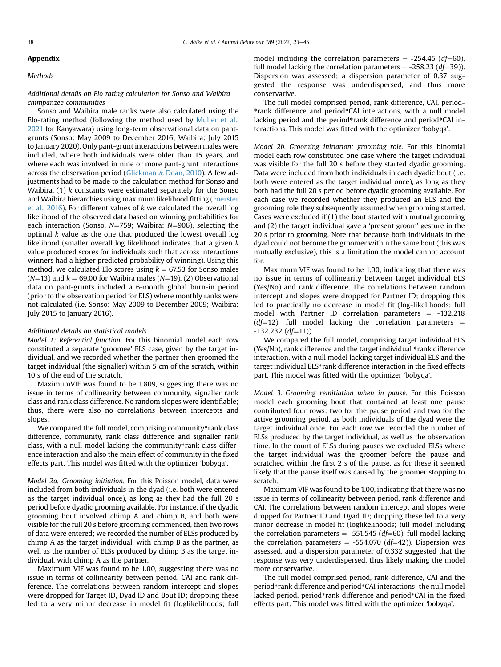# <span id="page-15-0"></span>Appendix

## **Methods**

## Additional details on Elo rating calculation for Sonso and Waibira chimpanzee communities

Sonso and Waibira male ranks were also calculated using the Elo-rating method (following the method used by [Muller et al.,](#page-14-44) [2021](#page-14-44) for Kanyawara) using long-term observational data on pantgrunts (Sonso: May 2009 to December 2016; Waibira: July 2015 to January 2020). Only pant-grunt interactions between males were included, where both individuals were older than 15 years, and where each was involved in nine or more pant-grunt interactions across the observation period [\(Glickman](#page-13-36) & [Doan, 2010\)](#page-13-36). A few adjustments had to be made to the calculation method for Sonso and Waibira.  $(1)$  k constants were estimated separately for the Sonso and Waibira hierarchies using maximum likelihood fitting [\(Foerster](#page-13-37) [et al., 2016\)](#page-13-37). For different values of k we calculated the overall log likelihood of the observed data based on winning probabilities for each interaction (Sonso,  $N=759$ ; Waibira:  $N=906$ ), selecting the optimal k value as the one that produced the lowest overall log likelihood (smaller overall log likelihood indicates that a given  $k$ value produced scores for individuals such that across interactions winners had a higher predicted probability of winning). Using this method, we calculated Elo scores using  $k = 67.53$  for Sonso males  $(N=13)$  and  $k = 69.00$  for Waibira males  $(N=19)$ . (2) Observational data on pant-grunts included a 6-month global burn-in period (prior to the observation period for ELS) where monthly ranks were not calculated (i.e. Sonso: May 2009 to December 2009; Waibira: July 2015 to January 2016).

#### Additional details on statistical models

Model 1: Referential function. For this binomial model each row constituted a separate 'groomee' ELS case, given by the target individual, and we recorded whether the partner then groomed the target individual (the signaller) within 5 cm of the scratch, within 10 s of the end of the scratch.

MaximumVIF was found to be 1.809, suggesting there was no issue in terms of collinearity between community, signaller rank class and rank class difference. No random slopes were identifiable; thus, there were also no correlations between intercepts and slopes.

We compared the full model, comprising community\*rank class difference, community, rank class difference and signaller rank class, with a null model lacking the community\*rank class difference interaction and also the main effect of community in the fixed effects part. This model was fitted with the optimizer 'bobyqa'.

Model 2a. Grooming initiation. For this Poisson model, data were included from both individuals in the dyad (i.e. both were entered as the target individual once), as long as they had the full 20 s period before dyadic grooming available. For instance, if the dyadic grooming bout involved chimp A and chimp B, and both were visible for the full 20 s before grooming commenced, then two rows of data were entered; we recorded the number of ELSs produced by chimp A as the target individual, with chimp B as the partner, as well as the number of ELSs produced by chimp B as the target individual, with chimp A as the partner.

Maximum VIF was found to be 1.00, suggesting there was no issue in terms of collinearity between period, CAI and rank difference. The correlations between random intercept and slopes were dropped for Target ID, Dyad ID and Bout ID; dropping these led to a very minor decrease in model fit (loglikelihoods; full model including the correlation parameters  $= -254.45$  (df=60), full model lacking the correlation parameters  $= -258.23$  (df=39)). Dispersion was assessed; a dispersion parameter of 0.37 suggested the response was underdispersed, and thus more conservative.

The full model comprised period, rank difference, CAI, period- \*rank difference and period\*CAI interactions, with a null model lacking period and the period\*rank difference and period\*CAI interactions. This model was fitted with the optimizer 'bobyqa'.

Model 2b. Grooming initiation; grooming role. For this binomial model each row constituted one case where the target individual was visible for the full 20 s before they started dyadic grooming. Data were included from both individuals in each dyadic bout (i.e. both were entered as the target individual once), as long as they both had the full 20 s period before dyadic grooming available. For each case we recorded whether they produced an ELS and the grooming role they subsequently assumed when grooming started. Cases were excluded if (1) the bout started with mutual grooming and (2) the target individual gave a 'present groom' gesture in the 20 s prior to grooming. Note that because both individuals in the dyad could not become the groomer within the same bout (this was mutually exclusive), this is a limitation the model cannot account for.

Maximum VIF was found to be 1.00, indicating that there was no issue in terms of collinearity between target individual ELS (Yes/No) and rank difference. The correlations between random intercept and slopes were dropped for Partner ID; dropping this led to practically no decrease in model fit (log-likelihoods: full model with Partner ID correlation parameters  $= -132.218$ ( $df=12$ ), full model lacking the correlation parameters =  $-132.232$  (df=11)).

We compared the full model, comprising target individual ELS (Yes/No), rank difference and the target individual \*rank difference interaction, with a null model lacking target individual ELS and the target individual ELS\*rank difference interaction in the fixed effects part. This model was fitted with the optimizer 'bobyqa'.

Model 3. Grooming reinitiation when in pause. For this Poisson model each grooming bout that contained at least one pause contributed four rows: two for the pause period and two for the active grooming period, as both individuals of the dyad were the target individual once. For each row we recorded the number of ELSs produced by the target individual, as well as the observation time. In the count of ELSs during pauses we excluded ELSs where the target individual was the groomer before the pause and scratched within the first 2 s of the pause, as for these it seemed likely that the pause itself was caused by the groomer stopping to scratch.

Maximum VIF was found to be 1.00, indicating that there was no issue in terms of collinearity between period, rank difference and CAI. The correlations between random intercept and slopes were dropped for Partner ID and Dyad ID; dropping these led to a very minor decrease in model fit (loglikelihoods; full model including the correlation parameters  $= -551.545$  (df=60), full model lacking the correlation parameters  $= -554.070$  (df=42)). Dispersion was assessed, and a dispersion parameter of 0.332 suggested that the response was very underdispersed, thus likely making the model more conservative.

The full model comprised period, rank difference, CAI and the period\*rank difference and period\*CAI interactions; the null model lacked period, period\*rank difference and period\*CAI in the fixed effects part. This model was fitted with the optimizer 'bobyqa'.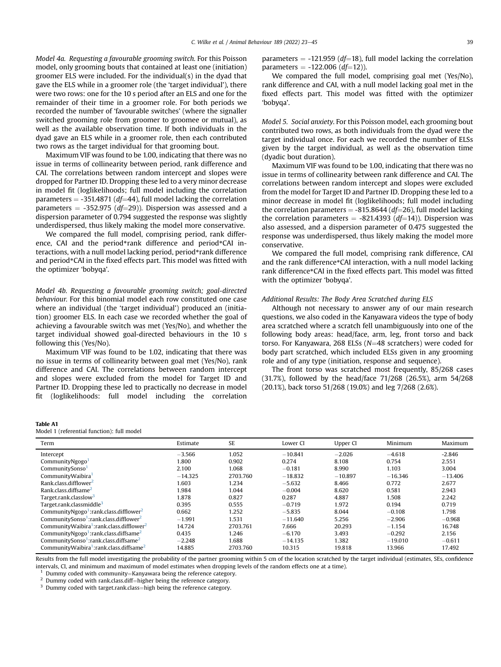Model 4a. Requesting a favourable grooming switch. For this Poisson model, only grooming bouts that contained at least one (initiation) groomer ELS were included. For the individual(s) in the dyad that gave the ELS while in a groomer role (the 'target individual'), there were two rows: one for the 10 s period after an ELS and one for the remainder of their time in a groomer role. For both periods we recorded the number of 'favourable switches' (where the signaller switched grooming role from groomer to groomee or mutual), as well as the available observation time. If both individuals in the dyad gave an ELS while in a groomer role, then each contributed two rows as the target individual for that grooming bout.

Maximum VIF was found to be 1.00, indicating that there was no issue in terms of collinearity between period, rank difference and CAI. The correlations between random intercept and slopes were dropped for Partner ID. Dropping these led to a very minor decrease in model fit (loglikelihoods; full model including the correlation parameters  $=$  -351.4871 (df=44), full model lacking the correlation parameters  $=$  -352.975 (df=29)). Dispersion was assessed and a dispersion parameter of 0.794 suggested the response was slightly underdispersed, thus likely making the model more conservative.

We compared the full model, comprising period, rank difference, CAI and the period\*rank difference and period\*CAI interactions, with a null model lacking period, period\*rank difference and period\*CAI in the fixed effects part. This model was fitted with the optimizer 'bobyqa'.

Model 4b. Requesting a favourable grooming switch; goal-directed behaviour. For this binomial model each row constituted one case where an individual (the 'target individual') produced an (initiation) groomer ELS. In each case we recorded whether the goal of achieving a favourable switch was met (Yes/No), and whether the target individual showed goal-directed behaviours in the 10 s following this (Yes/No).

Maximum VIF was found to be 1.02, indicating that there was no issue in terms of collinearity between goal met (Yes/No), rank difference and CAI. The correlations between random intercept and slopes were excluded from the model for Target ID and Partner ID. Dropping these led to practically no decrease in model fit (loglikelihoods: full model including the correlation

#### Table A1

#### Model 1 (referential function): full model

| parameters = $-121.959$ (df=18), full model lacking the correlation |  |
|---------------------------------------------------------------------|--|
| parameters = $-122.006$ ( <i>df</i> =12)).                          |  |

parameters =  $-122.006$  (*df*=12)).<br>We compared the full model, comprising goal met (Yes/No), rank difference and CAI, with a null model lacking goal met in the fixed effects part. This model was fitted with the optimizer 'bobyqa'.

Model 5. Social anxiety. For this Poisson model, each grooming bout contributed two rows, as both individuals from the dyad were the target individual once. For each we recorded the number of ELSs given by the target individual, as well as the observation time (dyadic bout duration).

Maximum VIF was found to be 1.00, indicating that there was no issue in terms of collinearity between rank difference and CAI. The correlations between random intercept and slopes were excluded from the model for Target ID and Partner ID. Dropping these led to a minor decrease in model fit (loglikelihoods; full model including the correlation parameters  $= -815.8644$  (df=26), full model lacking the correlation parameters = -821.4393 ( $df=14$ )). Dispersion was also assessed, and a dispersion parameter of 0.475 suggested the response was underdispersed, thus likely making the model more conservative.

We compared the full model, comprising rank difference, CAI and the rank difference\*CAI interaction, with a null model lacking rank difference\*CAI in the fixed effects part. This model was fitted with the optimizer 'bobyqa'.

# Additional Results: The Body Area Scratched during ELS

Although not necessary to answer any of our main research questions, we also coded in the Kanyawara videos the type of body area scratched where a scratch fell unambiguously into one of the following body areas: head/face, arm, leg, front torso and back torso. For Kanyawara, 268 ELSs ( $N=48$  scratchers) were coded for body part scratched, which included ELSs given in any grooming role and of any type (initiation, response and sequence).

The front torso was scratched most frequently, 85/268 cases (31.7%), followed by the head/face 71/268 (26.5%), arm 54/268 (20.1%), back torso 51/268 (19.0%) and leg 7/268 (2.6%).

| Term                                                             | Estimate  | SE       | Lower CI  | Upper CI  | Minimum   | Maximum   |
|------------------------------------------------------------------|-----------|----------|-----------|-----------|-----------|-----------|
| Intercept                                                        | $-3.566$  | 1.052    | $-10.841$ | $-2.026$  | $-4.618$  | $-2.846$  |
| CommunityNgogo <sup>1</sup>                                      | 1.800     | 0.902    | 0.274     | 8.108     | 0.754     | 2.551     |
| CommunitySonso <sup>1</sup>                                      | 2.100     | 1.068    | $-0.181$  | 8.990     | 1.103     | 3.004     |
| CommunityWaibira <sup>1</sup>                                    | $-14.325$ | 2703.760 | $-18.832$ | $-10.897$ | $-16.346$ | $-13.406$ |
| Rank.class.difflower <sup>2</sup>                                | 1.603     | 1.234    | $-5.632$  | 8.466     | 0.772     | 2.677     |
| Rank.class.diffsame <sup>2</sup>                                 | 1.984     | 1.044    | $-0.004$  | 8.620     | 0.581     | 2.943     |
| Target.rank.classlow <sup>3</sup>                                | 1.878     | 0.827    | 0.287     | 4.887     | 1.508     | 2.242     |
| Target,rank,classmiddle <sup>3</sup>                             | 0.395     | 0.555    | $-0.719$  | 1.972     | 0.194     | 0.719     |
| CommunityNgogo <sup>1</sup> :rank.class.difflower <sup>2</sup>   | 0.662     | 1.252    | $-5.835$  | 8.044     | $-0.108$  | 1.798     |
| CommunitySonso <sup>1</sup> :rank.class.difflower <sup>2</sup>   | $-1.991$  | 1.531    | $-11.640$ | 5.256     | $-2.906$  | $-0.968$  |
| CommunityWaibira <sup>1</sup> :rank.class.difflower <sup>2</sup> | 14.724    | 2703.761 | 7.666     | 20.293    | $-1.154$  | 16.748    |
| CommunityNgogo <sup>1</sup> :rank.class.diffsame <sup>2</sup>    | 0.435     | 1.246    | $-6.170$  | 3.493     | $-0.292$  | 2.156     |
| CommunitySonso <sup>1</sup> :rank.class.diffsame <sup>2</sup>    | $-2.248$  | 1.688    | $-14.135$ | 1.382     | $-19.010$ | $-0.611$  |
| CommunityWaibira <sup>1</sup> :rank.class.diffsame <sup>2</sup>  | 14.885    | 2703.760 | 10.315    | 19.818    | 13.966    | 17.492    |

Results from the full model investigating the probability of the partner grooming within 5 cm of the location scratched by the target individual (estimates, SEs, confidence intervals, CI, and minimum and maximum of model estimates when dropping levels of the random effects one at a time).

<span id="page-16-0"></span><sup>1</sup> Dummy coded with community=Kanyawara being the reference category.<br><sup>2</sup> Dummy coded with rank.class.diff=higher being the reference category. <sup>3</sup> Dummy coded with target.rank.class=high being the reference category.

<span id="page-16-2"></span><span id="page-16-1"></span>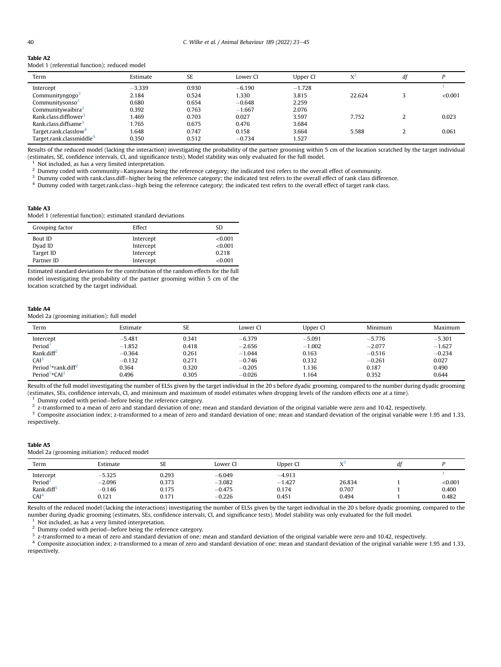| Table A2 |                                               |
|----------|-----------------------------------------------|
|          | Model 1 (referential function): reduced model |

| Term                                 | Estimate | <b>SE</b> | Lower CI | Upper CI | $X^2$  | df |         |
|--------------------------------------|----------|-----------|----------|----------|--------|----|---------|
| Intercept                            | $-3.339$ | 0.930     | $-6.190$ | $-1.728$ |        |    |         |
| Communityngogo $\textdegree$         | 2.184    | 0.524     | 1.330    | 3.815    | 22.624 |    | < 0.001 |
| Communitysonso <sup>2</sup>          | 0.680    | 0.654     | $-0.648$ | 2.259    |        |    |         |
| Communitywaibira <sup>2</sup>        | 0.392    | 0.763     | $-1.667$ | 2.076    |        |    |         |
| Rank.class.difflower <sup>3</sup>    | 1.469    | 0.703     | 0.027    | 3.597    | 7.752  | ำ  | 0.023   |
| Rank.class.diffsame <sup>3</sup>     | 1.765    | 0.675     | 0.476    | 3.684    |        |    |         |
| Target.rank.classlow <sup>4</sup>    | 1.648    | 0.747     | 0.158    | 3.664    | 5.588  |    | 0.061   |
| Target.rank.classmiddle <sup>4</sup> | 0.350    | 0.512     | $-0.734$ | 1.527    |        |    |         |

Results of the reduced model (lacking the interaction) investigating the probability of the partner grooming within 5 cm of the location scratched by the target individual (estimates, SE, confidence intervals, CI, and significance tests). Model stability was only evaluated for the full model.

<span id="page-17-1"></span><span id="page-17-0"></span><sup>1</sup> Not included, as has a very limited interpretation.<br><sup>2</sup> Dummy coded with community=Kanyawara being the reference category; the indicated test refers to the overall effect of community.

<span id="page-17-2"></span> $^3$  Dummy coded with rank.class.diff=higher being the reference category; the indicated test refers to the overall effect of rank class difference.<br> $^4$  Dummy coded with target.rank.class=high being the reference categor

<span id="page-17-3"></span>

#### Table A3

Model 1 (referential function): estimated standard deviations

| Grouping factor | Effect    | SD.     |
|-----------------|-----------|---------|
| Bout ID         | Intercept | < 0.001 |
| Dyad ID         | Intercept | <0.001  |
| Target ID       | Intercept | 0.218   |
| Partner ID      | Intercept | < 0.001 |

Estimated standard deviations for the contribution of the random effects for the full model investigating the probability of the partner grooming within 5 cm of the location scratched by the target individual.

#### Table A4

Model 2a (grooming initiation): full model

| Term                                        | Estimate | SE    | Lower CI | Upper CI | Minimum  | Maximum  |
|---------------------------------------------|----------|-------|----------|----------|----------|----------|
| Intercept                                   | $-5.481$ | 0.341 | $-6.379$ | $-5.091$ | $-5.776$ | $-5.301$ |
| Period <sup>1</sup>                         | $-1.852$ | 0.418 | $-2.656$ | $-1.002$ | $-2.077$ | $-1.627$ |
| Rank.diff <sup>2</sup>                      | $-0.364$ | 0.261 | $-1.044$ | 0.163    | $-0.516$ | $-0.234$ |
| CAI <sup>3</sup>                            | $-0.132$ | 0.271 | $-0.746$ | 0.332    | $-0.261$ | 0.027    |
| Period <sup>1</sup> *rank.diff <sup>2</sup> | 0.364    | 0.320 | $-0.205$ | 1.136    | 0.187    | 0.490    |
| Period <sup>1</sup> *CAI <sup>3</sup>       | 0.496    | 0.305 | $-0.026$ | 1.164    | 0.352    | 0.644    |

Results of the full model investigating the number of ELSs given by the target individual in the 20 s before dyadic grooming, compared to the number during dyadic grooming (estimates, SEs, confidence intervals, CI, and minimum and maximum of model estimates when dropping levels of the random effects one at a time).<br><sup>1</sup> Dummy coded with period=before being the reference category.

<span id="page-17-4"></span>

<span id="page-17-5"></span><sup>2</sup> z-transformed to a mean of zero and standard deviation of one; mean and standard deviation of the original variable were zero and 10.42, respectively.

<span id="page-17-6"></span><sup>3</sup> Composite association index; z-transformed to a mean of zero and standard deviation of one; mean and standard deviation of the original variable were 1.95 and 1.33, respectively.

#### Table A5

Model 2a (grooming initiation): reduced model

| Term                   | Estimate | SE    | Lower Cl | Upper CI |        | at |         |
|------------------------|----------|-------|----------|----------|--------|----|---------|
| Intercept              | $-5.325$ | 0.293 | $-6.049$ | $-4.913$ |        |    |         |
| Period <sup>2</sup>    | $-2.096$ | 0.373 | $-3.082$ | $-1.427$ | 26.834 |    | < 0.001 |
| Rank.diff <sup>3</sup> | $-0.146$ | 0.175 | $-0.475$ | 0.174    | 0.707  |    | 0.400   |
| CAI <sup>4</sup>       | 0.121    | 0.171 | $-0.226$ | 0.451    | 0.494  |    | 0.482   |

Results of the reduced model (lacking the interactions) investigating the number of ELSs given by the target individual in the 20 s before dyadic grooming, compared to the number during dyadic grooming (estimates, SEs, confidence intervals, CI, and significance tests). Model stability was only evaluated for the full model.

<span id="page-17-7"></span>

<span id="page-17-8"></span><sup>1</sup> Not included, as has a very limited interpretation.<br><sup>2</sup> Dummy coded with period=before being the reference category.

<span id="page-17-9"></span> $\frac{3}{2}$  before the reference category.  $\frac{3}{2}$  and  $\frac{3}{2}$  and  $\frac{3}{2}$  and  $\frac{3}{2}$  and  $\frac{3}{2}$  and  $\frac{10.42}{2}$ , respectively.

<span id="page-17-10"></span><sup>4</sup> Composite association index; z-transformed to a mean of zero and standard deviation of one; mean and standard deviation of the original variable were 1.95 and 1.33, respectively.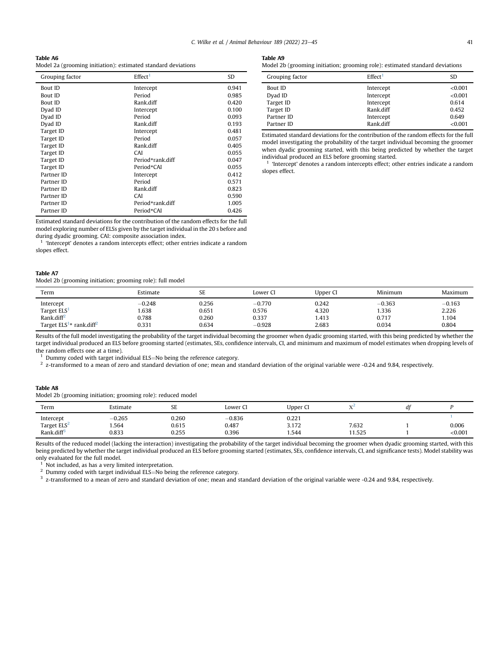| э<br>L<br>I<br>۰ |  |
|------------------|--|
|------------------|--|

Model 2a (grooming initiation): estimated standard deviations

| Grouping factor | Effect <sup>1</sup> | SD    |
|-----------------|---------------------|-------|
| <b>Bout ID</b>  | Intercept           | 0.941 |
| <b>Bout ID</b>  | Period              | 0.985 |
| <b>Bout ID</b>  | Rank.diff           | 0.420 |
| Dyad ID         | Intercept           | 0.100 |
| Dyad ID         | Period              | 0.093 |
| Dyad ID         | Rank diff           | 0.193 |
| Target ID       | Intercept           | 0.481 |
| Target ID       | Period              | 0.057 |
| Target ID       | Rank diff           | 0.405 |
| Target ID       | CAI                 | 0.055 |
| Target ID       | Period*rank.diff    | 0.047 |
| Target ID       | Period*CAI          | 0.055 |
| Partner ID      | Intercept           | 0.412 |
| Partner ID      | Period              | 0.571 |
| Partner ID      | Rank diff           | 0.823 |
| Partner ID      | CAI                 | 0.590 |
| Partner ID      | Period*rank.diff    | 1.005 |
| Partner ID      | Period*CAI          | 0.426 |

Estimated standard deviations for the contribution of the random effects for the full model exploring number of ELSs given by the target individual in the 20 s before and during dyadic grooming. CAI: composite association index.

<span id="page-18-0"></span> $1$  'Intercept' denotes a random intercepts effect; other entries indicate a random slopes effect.

#### Table A7

Model 2b (grooming initiation; grooming role): full model

Model 2b (grooming initiation; grooming role): estimated standard deviations

| Grouping factor | Effect <sup>1</sup> | SD.     |
|-----------------|---------------------|---------|
| Bout ID         | Intercept           | < 0.001 |
| Dyad ID         | Intercept           | < 0.001 |
| Target ID       | Intercept           | 0.614   |
| Target ID       | Rank.diff           | 0.452   |
| Partner ID      | Intercept           | 0.649   |
| Partner ID      | Rank.diff           | < 0.001 |

Estimated standard deviations for the contribution of the random effects for the full model investigating the probability of the target individual becoming the groomer when dyadic grooming started, with this being predicted by whether the target individual produced an ELS before grooming started.

<span id="page-18-6"></span> $1$  'Intercept' denotes a random intercepts effect; other entries indicate a random slopes effect.

| Term                                      | Estimate | SE    | Lower CI | Upper CI | Minimum  | Maximum  |
|-------------------------------------------|----------|-------|----------|----------|----------|----------|
| Intercept                                 | $-0.248$ | 0.256 | $-0.770$ | 0.242    | $-0.363$ | $-0.163$ |
| Target ELS <sup>1</sup>                   | .638     | 0.651 | 0.576    | 4.320    | 1.336    | 2.226    |
| Rank.diff <sup>2</sup>                    | 0.788    | 0.260 | 0.337    | 1.413    | 0.717    | 1.104    |
| rank.diff <sup>2</sup><br>Target $ELS1$ . | 0.331    | 0.634 | $-0.928$ | 2.683    | 0.034    | 0.804    |

Results of the full model investigating the probability of the target individual becoming the groomer when dyadic grooming started, with this being predicted by whether the target individual produced an ELS before grooming started (estimates, SEs, confidence intervals, CI, and minimum and maximum of model estimates when dropping levels of the random effects one at a time).

<span id="page-18-2"></span><span id="page-18-1"></span><sup>1</sup> Dummy coded with target individual ELS=No being the reference category.<br><sup>2</sup> z-transformed to a mean of zero and standard deviation of one; mean and standard deviation of the original variable were -0.24 and 9.84, resp

#### Table A8

Model 2b (grooming initiation; grooming role): reduced model

| Term                    | Estimate | $\sim$ $\sim$<br>ىن | Lower CI | Upper Cl | <b>NY</b> | dt |         |
|-------------------------|----------|---------------------|----------|----------|-----------|----|---------|
| Intercept               | $-0.265$ | 0.260               | $-0.836$ | 0.221    |           |    |         |
| Target ELS <sup>2</sup> | 1.564    | 0.615               | 0.487    | 3.172    | 7.632     |    | 0.006   |
| Rank.diff <sup>3</sup>  | 0.833    | 0.255               | 0.396    | 1.544    | 11.525    |    | < 0.001 |

Results of the reduced model (lacking the interaction) investigating the probability of the target individual becoming the groomer when dyadic grooming started, with this being predicted by whether the target individual produced an ELS before grooming started (estimates, SEs, confidence intervals, CI, and significance tests). Model stability was only evaluated for the full model.

<span id="page-18-3"></span>

<span id="page-18-4"></span><sup>1</sup> Not included, as has a very limited interpretation.<br><sup>2</sup> Dummy coded with target individual ELS=No being the reference category.

<span id="page-18-5"></span> $3$  z-transformed to a mean of zero and standard deviation of one; mean and standard deviation of the original variable were -0.24 and 9.84, respectively.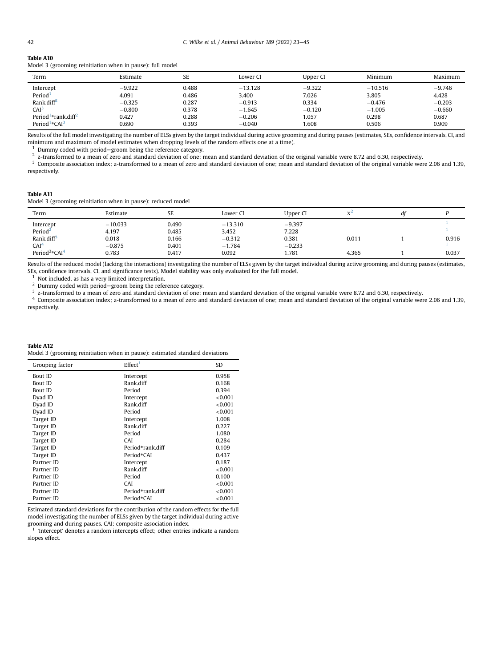# Table A10

| Model 3 (grooming reinitiation when in pause): full model |  |  |  |  |  |
|-----------------------------------------------------------|--|--|--|--|--|
|-----------------------------------------------------------|--|--|--|--|--|

| Term                                        | Estimate | <b>SE</b> | Lower CI  | Upper CI | Minimum   | Maximum  |
|---------------------------------------------|----------|-----------|-----------|----------|-----------|----------|
| Intercept                                   | $-9.922$ | 0.488     | $-13.128$ | $-9.322$ | $-10.516$ | $-9.746$ |
| Period <sup>1</sup>                         | 4.091    | 0.486     | 3.400     | 7.026    | 3.805     | 4.428    |
| Rank.diff <sup>2</sup>                      | $-0.325$ | 0.287     | $-0.913$  | 0.334    | $-0.476$  | $-0.203$ |
| CAI <sup>3</sup>                            | $-0.800$ | 0.378     | $-1.645$  | $-0.120$ | $-1.005$  | $-0.660$ |
| Period <sup>1</sup> *rank.diff <sup>2</sup> | 0.427    | 0.288     | $-0.206$  | 1.057    | 0.298     | 0.687    |
| Period <sup>1</sup> *CAI <sup>3</sup>       | 0.690    | 0.393     | $-0.040$  | 1.608    | 0.506     | 0.909    |

Results of the full model investigating the number of ELSs given by the target individual during active grooming and during pauses (estimates, SEs, confidence intervals, CI, and minimum and maximum of model estimates when dropping levels of the random effects one at a time).<br><sup>1</sup> Dummy coded with period=groom being the reference category.

<span id="page-19-5"></span>

<span id="page-19-6"></span>2 z-transformed to a mean of zero and standard deviation of one; mean and standard deviation of the original variable were 8.72 and 6.30, respectively.<br><sup>2</sup> Z-transformed to a mean and standard deviation of one; mean and s

<span id="page-19-7"></span><sup>3</sup> Composite association index; z-transformed to a mean of zero and standard deviation of one; mean and standard deviation of the original variable were 2.06 and 1.39, respectively.

#### Table A11

Model 3 (grooming reinitiation when in pause): reduced model

| Term                                  | Estimate  | SE    | Lower Cl  | Upper CI | $V^2$ | di |       |
|---------------------------------------|-----------|-------|-----------|----------|-------|----|-------|
| Intercept                             | $-10.033$ | 0.490 | $-13.310$ | $-9.397$ |       |    |       |
| Period <sup>2</sup>                   | 4.197     | 0.485 | 3.452     | 7.228    |       |    |       |
| Rank, diff <sup>3</sup>               | 0.018     | 0.166 | $-0.312$  | 0.381    | 0.011 |    | 0.916 |
| CAI <sup>4</sup>                      | $-0.875$  | 0.401 | $-1.784$  | $-0.233$ |       |    |       |
| Period <sup>2</sup> *CAI <sup>4</sup> | 0.783     | 0.417 | 0.092     | 1.781    | 4.365 |    | 0.037 |

Results of the reduced model (lacking the interactions) investigating the number of ELSs given by the target individual during active grooming and during pauses (estimates, SEs, confidence intervals, CI, and significance tests). Model stability was only evaluated for the full model.

<span id="page-19-0"></span>

<span id="page-19-1"></span><sup>1</sup> Not included, as has a very limited interpretation.<br><sup>2</sup> Dummy coded with period=groom being the reference category.

<span id="page-19-2"></span><sup>3</sup> z-transformed to a mean of zero and standard deviation of one; mean and standard deviation of the original variable were 8.72 and 6.30, respectively.

<span id="page-19-3"></span><sup>4</sup> Composite association index; z-transformed to a mean of zero and standard deviation of one; mean and standard deviation of the original variable were 2.06 and 1.39, respectively.

#### Table A12

Model 3 (grooming reinitiation when in pause): estimated standard deviations

| Grouping factor | Effect <sup>1</sup> | SD      |
|-----------------|---------------------|---------|
| <b>Bout ID</b>  | Intercept           | 0.958   |
| Bout ID         | Rank.diff           | 0.168   |
| <b>Bout ID</b>  | Period              | 0.394   |
| Dyad ID         | Intercept           | < 0.001 |
| Dyad ID         | Rank.diff           | < 0.001 |
| Dyad ID         | Period              | < 0.001 |
| Target ID       | Intercept           | 1.008   |
| Target ID       | Rank.diff           | 0.227   |
| Target ID       | Period              | 1.080   |
| Target ID       | CAI                 | 0.284   |
| Target ID       | Period*rank.diff    | 0.109   |
| Target ID       | Period*CAI          | 0.437   |
| Partner ID      | Intercept           | 0.187   |
| Partner ID      | Rank.diff           | < 0.001 |
| Partner ID      | Period              | 0.100   |
| Partner ID      | CAI                 | < 0.001 |
| Partner ID      | Period*rank.diff    | < 0.001 |
| Partner ID      | Period*CAI          | < 0.001 |

Estimated standard deviations for the contribution of the random effects for the full model investigating the number of ELSs given by the target individual during active grooming and during pauses. CAI: composite association index.

<span id="page-19-4"></span> $1$  'Intercept' denotes a random intercepts effect; other entries indicate a random slopes effect.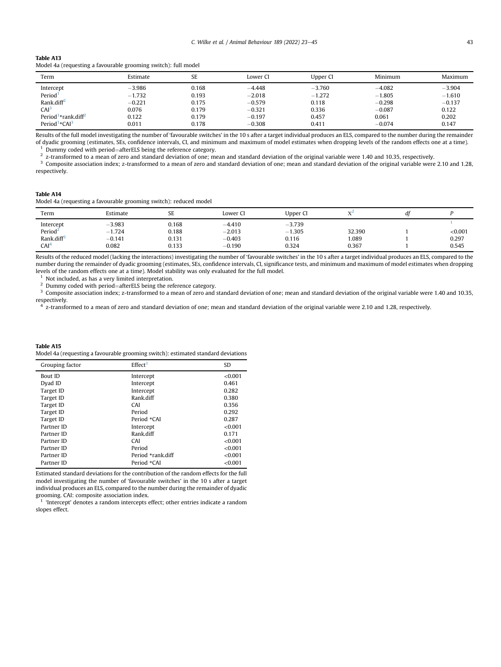# Table A13

|  |  | Model 4a (requesting a favourable grooming switch): full model |  |  |  |
|--|--|----------------------------------------------------------------|--|--|--|
|--|--|----------------------------------------------------------------|--|--|--|

| Term                                        | Estimate | SE    | Lower CI | Upper CI | Minimum  | Maximum  |
|---------------------------------------------|----------|-------|----------|----------|----------|----------|
| Intercept                                   | $-3.986$ | 0.168 | $-4.448$ | $-3.760$ | $-4.082$ | $-3.904$ |
| Period <sup>1</sup>                         | $-1.732$ | 0.193 | $-2.018$ | $-1.272$ | $-1.805$ | $-1.610$ |
| Rank.diff <sup>2</sup>                      | $-0.221$ | 0.175 | $-0.579$ | 0.118    | $-0.298$ | $-0.137$ |
| CAI <sup>3</sup>                            | 0.076    | 0.179 | $-0.321$ | 0.336    | $-0.087$ | 0.122    |
| Period <sup>1</sup> *rank.diff <sup>2</sup> | 0.122    | 0.179 | $-0.197$ | 0.457    | 0.061    | 0.202    |
| Period <sup>1</sup> *CAI <sup>3</sup>       | 0.011    | 0.178 | $-0.308$ | 0.411    | $-0.074$ | 0.147    |

Results of the full model investigating the number of 'favourable switches' in the 10 s after a target individual produces an ELS, compared to the number during the remainder of dyadic grooming (estimates, SEs, confidence intervals, CI, and minimum and maximum of model estimates when dropping levels of the random effects one at a time).<br><sup>1</sup> Dummy coded with period=afterELS being the reference c

<span id="page-20-1"></span><span id="page-20-0"></span>2 z-transformed to a mean of zero and standard deviation of the original variable were 1.40 and 10.35, respectively.<br>2 z-transformed to a mean of zero and standard deviation of one; mean and standard deviation of the orig

<span id="page-20-2"></span>Composite association index; z-transformed to a mean of zero and standard deviation of one; mean and standard deviation of the original variable were 2.10 and 1.28, respectively.

#### Table A14

Model 4a (requesting a favourable grooming switch): reduced model

| Term                   | Estimate      | SE    | Lower Cl | Upper CI | $V_{\rm A}$ | di |         |
|------------------------|---------------|-------|----------|----------|-------------|----|---------|
| Intercept              | $-3.983$      | 0.168 | $-4.410$ | $-3.739$ |             |    |         |
| Period <sup>2</sup>    | 1.724<br>$-1$ | 0.188 | $-2.013$ | $-1.305$ | 32.390      |    | < 0.001 |
| Rank.diff <sup>3</sup> | $-0.141$      | 0.131 | $-0.403$ | 0.116    | 1.089       |    | 0.297   |
| CAI <sup>4</sup>       | 0.082         | 0.133 | $-0.190$ | 0.324    | 0.367       |    | 0.545   |

Results of the reduced model (lacking the interactions) investigating the number of 'favourable switches' in the 10 s after a target individual produces an ELS, compared to the number during the remainder of dyadic grooming (estimates, SEs, confidence intervals, CI, significance tests, and minimum and maximum of model estimates when dropping levels of the random effects one at a time). Model stability was only evaluated for the full model.

<span id="page-20-4"></span><sup>1</sup> Not included, as has a very limited interpretation.<br><sup>2</sup> Dummy coded with period—after ELS being the ref

<span id="page-20-5"></span><span id="page-20-3"></span><sup>2</sup> Dummy coded with period=afterELS being the reference category.<br><sup>3</sup> Composite association index; z-transformed to a mean of zero and standard deviation of one; mean and standard deviation of the original variable were respectively.

<span id="page-20-6"></span><sup>4</sup> z-transformed to a mean of zero and standard deviation of one; mean and standard deviation of the original variable were 2.10 and 1.28, respectively.

Table A15 Model 4a (requesting a favourable grooming switch): estimated standard deviations

| Grouping factor | Effect <sup>1</sup> | <b>SD</b> |
|-----------------|---------------------|-----------|
| <b>Bout ID</b>  | Intercept           | < 0.001   |
| Dyad ID         | Intercept           | 0.461     |
| Target ID       | Intercept           | 0.282     |
| Target ID       | Rank.diff           | 0.380     |
| Target ID       | CAI                 | 0.356     |
| Target ID       | Period              | 0.292     |
| Target ID       | Period *CAI         | 0.287     |
| Partner ID      | Intercept           | <0.001    |
| Partner ID      | Rank.diff           | 0.171     |
| Partner ID      | CAI                 | <0.001    |
| Partner ID      | Period              | < 0.001   |
| Partner ID      | Period *rank.diff   | < 0.001   |
| Partner ID      | Period *CAI         | < 0.001   |
|                 |                     |           |

Estimated standard deviations for the contribution of the random effects for the full model investigating the number of 'favourable switches' in the 10 s after a target individual produces an ELS, compared to the number during the remainder of dyadic grooming. CAI: composite association index.

<span id="page-20-7"></span>'Intercept' denotes a random intercepts effect; other entries indicate a random slopes effect.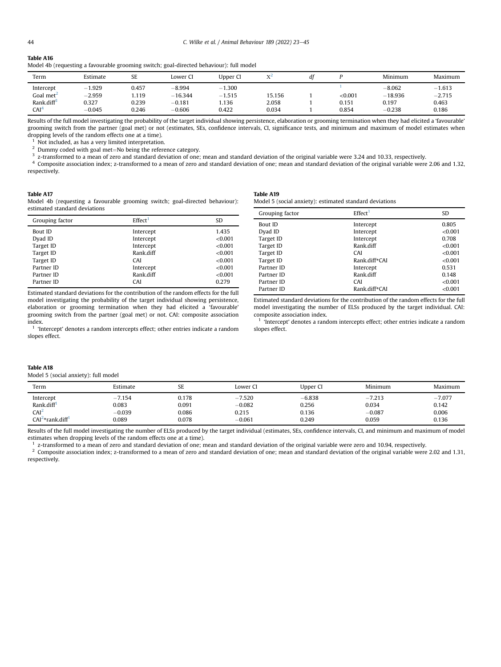# Table A16

| Model 4b (requesting a favourable grooming switch; goal-directed behaviour): full model |  |  |  |
|-----------------------------------------------------------------------------------------|--|--|--|
|-----------------------------------------------------------------------------------------|--|--|--|

| Term                   | Estimate | SE    | Lower Cl  | Upper CI | V      | di |         | Minimum   | Maximum  |
|------------------------|----------|-------|-----------|----------|--------|----|---------|-----------|----------|
| Intercept              | $-1.929$ | 0.457 | $-8.994$  | $-1.300$ |        |    |         | $-8.062$  | $-1.613$ |
| Goal met <sup>2</sup>  | $-2.959$ | .119  | $-16.344$ | $-1.515$ | 15.156 |    | < 0.001 | $-18.936$ | $-2.715$ |
| Rank.diff <sup>3</sup> | 0.327    | 0.239 | $-0.181$  | .136     | 2.058  |    | 0.151   | 0.197     | 0.463    |
| CAI <sup>4</sup>       | $-0.045$ | 0.246 | $-0.606$  | 0.422    | 0.034  |    | 0.854   | $-0.238$  | 0.186    |

Results of the full model investigating the probability of the target individual showing persistence, elaboration or grooming termination when they had elicited a 'favourable' grooming switch from the partner (goal met) or not (estimates, SEs, confidence intervals, CI, significance tests, and minimum and maximum of model estimates when dropping levels of the random effects one at a time).

<span id="page-21-4"></span>

<span id="page-21-5"></span><sup>1</sup> Not included, as has a very limited interpretation.<br><sup>2</sup> Dummy coded with goal met=No being the reference category.

<span id="page-21-6"></span> $3$  z-transformed to a mean of zero and standard deviation of one; mean and standard deviation of the original variable were 3.24 and 10.33, respectively.

<span id="page-21-7"></span>Composite association index; z-transformed to a mean of zero and standard deviation of one; mean and standard deviation of the original variable were 2.06 and 1.32, respectively.

#### Table A17

Model 4b (requesting a favourable grooming switch; goal-directed behaviour): estimated standard deviations

| Grouping factor | Effect <sup>1</sup> | SD.     |
|-----------------|---------------------|---------|
| <b>Bout ID</b>  | Intercept           | 1.435   |
| Dyad ID         | Intercept           | < 0.001 |
| Target ID       | Intercept           | < 0.001 |
| Target ID       | Rank.diff           | <0.001  |
| Target ID       | CAI                 | < 0.001 |
| Partner ID      | Intercept           | < 0.001 |
| Partner ID      | Rank.diff           | < 0.001 |
| Partner ID      | CAI                 | 0.279   |

Estimated standard deviations for the contribution of the random effects for the full model investigating the probability of the target individual showing persistence, elaboration or grooming termination when they had elicited a 'favourable' grooming switch from the partner (goal met) or not. CAI: composite association index.

<span id="page-21-0"></span> $1$  'Intercept' denotes a random intercepts effect; other entries indicate a random slopes effect.

| <b>Table A19</b> |  |
|------------------|--|
|                  |  |

Model 5 (social anxiety): estimated standard deviations

| Grouping factor | Effect <sup>1</sup> | SD.     |
|-----------------|---------------------|---------|
| <b>Bout ID</b>  | Intercept           | 0.805   |
| Dyad ID         | Intercept           | < 0.001 |
| Target ID       | Intercept           | 0.708   |
| Target ID       | Rank.diff           | <0.001  |
| Target ID       | CAI                 | < 0.001 |
| Target ID       | Rank.diff*CAI       | < 0.001 |
| Partner ID      | Intercept           | 0.531   |
| Partner ID      | Rank.diff           | 0.148   |
| Partner ID      | CAI                 | < 0.001 |
| Partner ID      | Rank diff*CAI       | < 0.001 |

Estimated standard deviations for the contribution of the random effects for the full model investigating the number of ELSs produced by the target individual. CAI: composite association index.

<span id="page-21-3"></span> $<sup>1</sup>$  'Intercept' denotes a random intercepts effect; other entries indicate a random</sup> slopes effect.

## Table A18

Model 5 (social anxiety): full model

| Term                                     | Estimate | SE    | Lower    | Upper CI | Minimum  | Maximum  |
|------------------------------------------|----------|-------|----------|----------|----------|----------|
| Intercept                                | $-7.154$ | 0.178 | $-7.520$ | $-6.838$ | $-7.213$ | $-7.077$ |
| Rank.diff                                | 0.083    | 0.091 | $-0.082$ | 0.256    | 0.034    | 0.142    |
| CAI <sup>2</sup>                         | $-0.039$ | 0.086 | 0.215    | 0.136    | $-0.087$ | 0.006    |
| CAl <sup>2</sup> *rank.diff <sup>1</sup> | 0.089    | 0.078 | $-0.061$ | 0.249    | 0.059    | 0.136    |

Results of the full model investigating the number of ELSs produced by the target individual (estimates, SEs, confidence intervals, CI, and minimum and maximum of model estimates when dropping levels of the random effects one at a time).

<span id="page-21-1"></span> $<sup>1</sup>$  z-transformed to a mean of zero and standard deviation of one; mean and standard deviation of the original variable were zero and 10.94, respectively.</sup>

<span id="page-21-2"></span><sup>2</sup> Composite association index; z-transformed to a mean of zero and standard deviation of standard deviation of the original variable were 2.02 and 1.31, respectively.